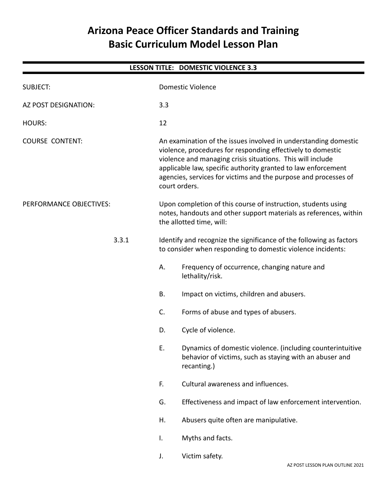# **Arizona Peace Officer Standards and Training Basic Curriculum Model Lesson Plan**

| LESSON TITLE: DOMESTIC VIOLENCE 3.3 |       |                                                                                                                                                                                                                                                                                                                                                   |                                                                                                                                      |  |  |  |
|-------------------------------------|-------|---------------------------------------------------------------------------------------------------------------------------------------------------------------------------------------------------------------------------------------------------------------------------------------------------------------------------------------------------|--------------------------------------------------------------------------------------------------------------------------------------|--|--|--|
| <b>SUBJECT:</b>                     |       | <b>Domestic Violence</b>                                                                                                                                                                                                                                                                                                                          |                                                                                                                                      |  |  |  |
| AZ POST DESIGNATION:                |       | 3.3                                                                                                                                                                                                                                                                                                                                               |                                                                                                                                      |  |  |  |
| <b>HOURS:</b>                       |       | 12                                                                                                                                                                                                                                                                                                                                                |                                                                                                                                      |  |  |  |
| <b>COURSE CONTENT:</b>              |       | An examination of the issues involved in understanding domestic<br>violence, procedures for responding effectively to domestic<br>violence and managing crisis situations. This will include<br>applicable law, specific authority granted to law enforcement<br>agencies, services for victims and the purpose and processes of<br>court orders. |                                                                                                                                      |  |  |  |
| PERFORMANCE OBJECTIVES:             |       | Upon completion of this course of instruction, students using<br>notes, handouts and other support materials as references, within<br>the allotted time, will:                                                                                                                                                                                    |                                                                                                                                      |  |  |  |
|                                     | 3.3.1 | Identify and recognize the significance of the following as factors<br>to consider when responding to domestic violence incidents:                                                                                                                                                                                                                |                                                                                                                                      |  |  |  |
|                                     |       | А.                                                                                                                                                                                                                                                                                                                                                | Frequency of occurrence, changing nature and<br>lethality/risk.                                                                      |  |  |  |
|                                     |       | <b>B.</b>                                                                                                                                                                                                                                                                                                                                         | Impact on victims, children and abusers.                                                                                             |  |  |  |
|                                     |       | C.                                                                                                                                                                                                                                                                                                                                                | Forms of abuse and types of abusers.                                                                                                 |  |  |  |
|                                     |       | D.                                                                                                                                                                                                                                                                                                                                                | Cycle of violence.                                                                                                                   |  |  |  |
|                                     |       | Ε.                                                                                                                                                                                                                                                                                                                                                | Dynamics of domestic violence. (including counterintuitive<br>behavior of victims, such as staying with an abuser and<br>recanting.) |  |  |  |
|                                     |       | F.                                                                                                                                                                                                                                                                                                                                                | Cultural awareness and influences.                                                                                                   |  |  |  |
|                                     |       | G.                                                                                                                                                                                                                                                                                                                                                | Effectiveness and impact of law enforcement intervention.                                                                            |  |  |  |
|                                     |       | Η.                                                                                                                                                                                                                                                                                                                                                | Abusers quite often are manipulative.                                                                                                |  |  |  |
|                                     |       | Ι.                                                                                                                                                                                                                                                                                                                                                | Myths and facts.                                                                                                                     |  |  |  |
|                                     |       | J.                                                                                                                                                                                                                                                                                                                                                | Victim safety.                                                                                                                       |  |  |  |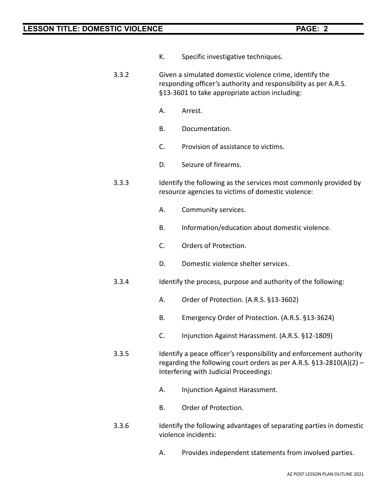- K. Specific investigative techniques.
- 3.3.2 Given a simulated domestic violence crime, identify the responding officer's authority and responsibility as per A.R.S. §13-3601 to take appropriate action including:
	- A. Arrest.
	- B. Documentation.
	- C. Provision of assistance to victims.
	- D. Seizure of firearms.
- 3.3.3 Identify the following as the services most commonly provided by resource agencies to victims of domestic violence:
	- A. Community services.
	- B. Information/education about domestic violence.
	- C. Orders of Protection.
	- D. Domestic violence shelter services.
- 3.3.4 Identify the process, purpose and authority of the following:
	- A. Order of Protection. (A.R.S. §13-3602)
	- B. Emergency Order of Protection. (A.R.S. §13-3624)
	- C. Injunction Against Harassment. (A.R.S. §12-1809)
- 3.3.5 Identify a peace officer's responsibility and enforcement authority regarding the following court orders as per A.R.S. §13-2810(A)(2) – Interfering with Judicial Proceedings:
	- A. Injunction Against Harassment.
	- B. Order of Protection.
- 3.3.6 Identify the following advantages of separating parties in domestic violence incidents:
	- A. Provides independent statements from involved parties.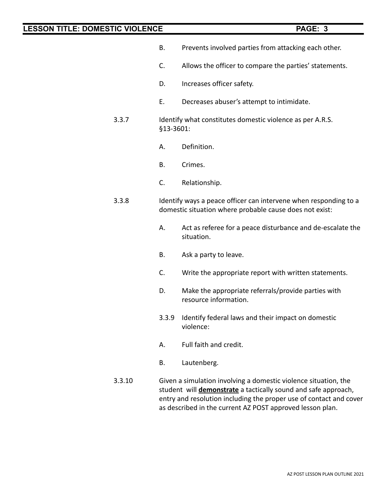- B. Prevents involved parties from attacking each other.
- C. Allows the officer to compare the parties' statements.
- D. Increases officer safety.
- E. Decreases abuser's attempt to intimidate.
- 3.3.7 Identify what constitutes domestic violence as per A.R.S. §13-3601:
	- A. Definition.
	- B. Crimes.
	- C. Relationship.
- 3.3.8 Identify ways a peace officer can intervene when responding to a domestic situation where probable cause does not exist:
	- A. Act as referee for a peace disturbance and de-escalate the situation.
	- B. Ask a party to leave.
	- C. Write the appropriate report with written statements.
	- D. Make the appropriate referrals/provide parties with resource information.
	- 3.3.9 Identify federal laws and their impact on domestic violence:
	- A. Full faith and credit.
	- B. Lautenberg.
- 3.3.10 Given a simulation involving a domestic violence situation, the student will **demonstrate** a tactically sound and safe approach, entry and resolution including the proper use of contact and cover as described in the current AZ POST approved lesson plan.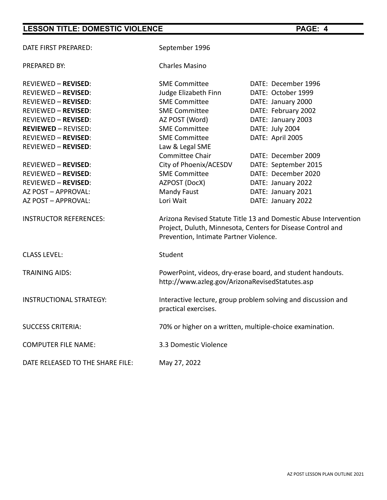| DATE FIRST PREPARED:             | September 1996                                                                                                                                                            |                      |  |  |  |
|----------------------------------|---------------------------------------------------------------------------------------------------------------------------------------------------------------------------|----------------------|--|--|--|
| <b>PREPARED BY:</b>              | <b>Charles Masino</b>                                                                                                                                                     |                      |  |  |  |
| <b>REVIEWED - REVISED:</b>       | <b>SME Committee</b>                                                                                                                                                      | DATE: December 1996  |  |  |  |
| <b>REVIEWED - REVISED:</b>       | Judge Elizabeth Finn                                                                                                                                                      | DATE: October 1999   |  |  |  |
| <b>REVIEWED - REVISED:</b>       | <b>SME Committee</b>                                                                                                                                                      | DATE: January 2000   |  |  |  |
| <b>REVIEWED - REVISED:</b>       | <b>SME Committee</b>                                                                                                                                                      | DATE: February 2002  |  |  |  |
| <b>REVIEWED - REVISED:</b>       | AZ POST (Word)                                                                                                                                                            | DATE: January 2003   |  |  |  |
| <b>REVIEWED - REVISED:</b>       | <b>SME Committee</b>                                                                                                                                                      | DATE: July 2004      |  |  |  |
| <b>REVIEWED - REVISED:</b>       | <b>SME Committee</b>                                                                                                                                                      | DATE: April 2005     |  |  |  |
| <b>REVIEWED - REVISED:</b>       | Law & Legal SME                                                                                                                                                           |                      |  |  |  |
|                                  | <b>Committee Chair</b>                                                                                                                                                    | DATE: December 2009  |  |  |  |
| <b>REVIEWED - REVISED:</b>       | City of Phoenix/ACESDV                                                                                                                                                    | DATE: September 2015 |  |  |  |
| <b>REVIEWED - REVISED:</b>       | <b>SME Committee</b>                                                                                                                                                      | DATE: December 2020  |  |  |  |
| <b>REVIEWED - REVISED:</b>       | AZPOST (DocX)                                                                                                                                                             | DATE: January 2022   |  |  |  |
| AZ POST - APPROVAL:              | Mandy Faust                                                                                                                                                               | DATE: January 2021   |  |  |  |
| AZ POST - APPROVAL:              | Lori Wait                                                                                                                                                                 | DATE: January 2022   |  |  |  |
| <b>INSTRUCTOR REFERENCES:</b>    | Arizona Revised Statute Title 13 and Domestic Abuse Intervention<br>Project, Duluth, Minnesota, Centers for Disease Control and<br>Prevention, Intimate Partner Violence. |                      |  |  |  |
| <b>CLASS LEVEL:</b>              | Student                                                                                                                                                                   |                      |  |  |  |
| <b>TRAINING AIDS:</b>            | PowerPoint, videos, dry-erase board, and student handouts.<br>http://www.azleg.gov/ArizonaRevisedStatutes.asp                                                             |                      |  |  |  |
| <b>INSTRUCTIONAL STRATEGY:</b>   | Interactive lecture, group problem solving and discussion and<br>practical exercises.                                                                                     |                      |  |  |  |
| <b>SUCCESS CRITERIA:</b>         | 70% or higher on a written, multiple-choice examination.                                                                                                                  |                      |  |  |  |
| <b>COMPUTER FILE NAME:</b>       | 3.3 Domestic Violence                                                                                                                                                     |                      |  |  |  |
| DATE RELEASED TO THE SHARE FILE: | May 27, 2022                                                                                                                                                              |                      |  |  |  |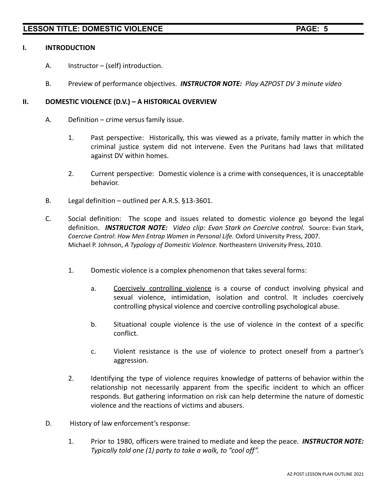### **I. INTRODUCTION**

- A. Instructor (self) introduction.
- B. Preview of performance objectives. *INSTRUCTOR NOTE: Play AZPOST DV 3 minute video*

### **II. DOMESTIC VIOLENCE (D.V.) – A HISTORICAL OVERVIEW**

- A. Definition crime versus family issue.
	- 1. Past perspective: Historically, this was viewed as a private, family matter in which the criminal justice system did not intervene. Even the Puritans had laws that militated against DV within homes.
	- 2. Current perspective: Domestic violence is a crime with consequences, it is unacceptable behavior.
- B. Legal definition outlined per A.R.S. §13-3601.
- C. Social definition: The scope and issues related to domestic violence go beyond the legal definition. *INSTRUCTOR NOTE: Video clip: Evan Stark on Coercive control.* Source: Evan Stark, *Coercive Control*: *How Men Entrap Women in Personal Life.* Oxford University Press, 2007. Michael P. Johnson, *A Typology of Domestic Violence.* Northeastern University Press, 2010.
	- 1. Domestic violence is a complex phenomenon that takes several forms:
		- a. Coercively controlling violence is a course of conduct involving physical and sexual violence, intimidation, isolation and control. It includes coercively controlling physical violence and coercive controlling psychological abuse.
		- b. Situational couple violence is the use of violence in the context of a specific conflict.
		- c. Violent resistance is the use of violence to protect oneself from a partner's aggression.
	- 2. Identifying the type of violence requires knowledge of patterns of behavior within the relationship not necessarily apparent from the specific incident to which an officer responds. But gathering information on risk can help determine the nature of domestic violence and the reactions of victims and abusers.
- D. History of law enforcement's response:
	- 1. Prior to 1980, officers were trained to mediate and keep the peace. *INSTRUCTOR NOTE: Typically told one (1) party to take a walk, to "cool off".*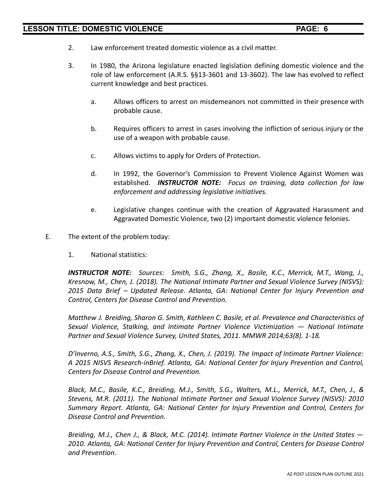- 2. Law enforcement treated domestic violence as a civil matter.
- 3. In 1980, the Arizona legislature enacted legislation defining domestic violence and the role of law enforcement (A.R.S. §§13-3601 and 13-3602). The law has evolved to reflect current knowledge and best practices.
	- a. Allows officers to arrest on misdemeanors not committed in their presence with probable cause.
	- b. Requires officers to arrest in cases involving the infliction of serious injury or the use of a weapon with probable cause.
	- c. Allows victims to apply for Orders of Protection.
	- d. In 1992, the Governor's Commission to Prevent Violence Against Women was established. *INSTRUCTOR NOTE: Focus on training, data collection for law enforcement and addressing legislative initiatives.*
	- e. Legislative changes continue with the creation of Aggravated Harassment and Aggravated Domestic Violence, two (2) important domestic violence felonies.
- E. The extent of the problem today:
	- 1. National statistics:

*INSTRUCTOR NOTE: Sources: Smith, S.G., Zhang, X., Basile, K.C., Merrick, M.T., Wang, J., Kresnow, M., Chen, J. (2018). The National Intimate Partner and Sexual Violence Survey (NISVS): 2015 Data Brief – Updated Release. Atlanta, GA: National Center for Injury Prevention and Control, Centers for Disease Control and Prevention.*

*Matthew J. Breiding, Sharon G. Smith, Kathleen C. Basile, et al. Prevalence and Characteristics of Sexual Violence, Stalking, and Intimate Partner Violence Victimization — National Intimate Partner and Sexual Violence Survey, United States, 2011. MMWR 2014;63(8). 1-18.*

*D'Inverno, A.S., Smith, S.G., Zhang, X., Chen, J. (2019). The Impact of Intimate Partner Violence: A 2015 NISVS Research-inBrief. Atlanta, GA: National Center for Injury Prevention and Control, Centers for Disease Control and Prevention.*

*Black, M.C., Basile, K.C., Breiding, M.J., Smith, S.G., Walters, M.L., Merrick, M.T., Chen, J., & Stevens, M.R. (2011). The National Intimate Partner and Sexual Violence Survey (NISVS): 2010 Summary Report. Atlanta, GA: National Center for Injury Prevention and Control, Centers for Disease Control and Prevention.*

*Breiding, M.J., Chen J., & Black, M.C. (2014). Intimate Partner Violence in the United States — 2010. Atlanta, GA: National Center for Injury Prevention and Control, Centers for Disease Control and Prevention.*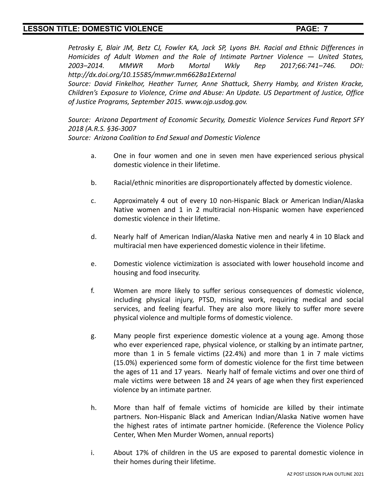*Petrosky E, Blair JM, Betz CJ, Fowler KA, Jack SP, Lyons BH. Racial and Ethnic Differences in Homicides of Adult Women and the Role of Intimate Partner Violence — United States, 2003–2014. MMWR Morb Mortal Wkly Rep 2017;66:741–746. DOI: http://dx.doi.org/10.15585/mmwr.mm6628a1External*

*Source: David Finkelhor, Heather Turner, Anne Shattuck, Sherry Hamby, and Kristen Kracke, Children's Exposure to Violence, Crime and Abuse: An Update. US Department of Justice, Office of Justice Programs, September 2015. www.ojp.usdog.gov.*

*Source: Arizona Department of Economic Security, Domestic Violence Services Fund Report SFY 2018 (A.R.S. §36-3007*

*Source: Arizona Coalition to End Sexual and Domestic Violence*

- a. One in four women and one in seven men have experienced serious physical domestic violence in their lifetime.
- b. Racial/ethnic minorities are disproportionately affected by domestic violence.
- c. Approximately 4 out of every 10 non-Hispanic Black or American Indian/Alaska Native women and 1 in 2 multiracial non-Hispanic women have experienced domestic violence in their lifetime.
- d. Nearly half of American Indian/Alaska Native men and nearly 4 in 10 Black and multiracial men have experienced domestic violence in their lifetime.
- e. Domestic violence victimization is associated with lower household income and housing and food insecurity.
- f. Women are more likely to suffer serious consequences of domestic violence, including physical injury, PTSD, missing work, requiring medical and social services, and feeling fearful. They are also more likely to suffer more severe physical violence and multiple forms of domestic violence.
- g. Many people first experience domestic violence at a young age. Among those who ever experienced rape, physical violence, or stalking by an intimate partner, more than 1 in 5 female victims (22.4%) and more than 1 in 7 male victims (15.0%) experienced some form of domestic violence for the first time between the ages of 11 and 17 years. Nearly half of female victims and over one third of male victims were between 18 and 24 years of age when they first experienced violence by an intimate partner.
- h. More than half of female victims of homicide are killed by their intimate partners. Non-Hispanic Black and American Indian/Alaska Native women have the highest rates of intimate partner homicide. (Reference the Violence Policy Center, When Men Murder Women, annual reports)
- i. About 17% of children in the US are exposed to parental domestic violence in their homes during their lifetime.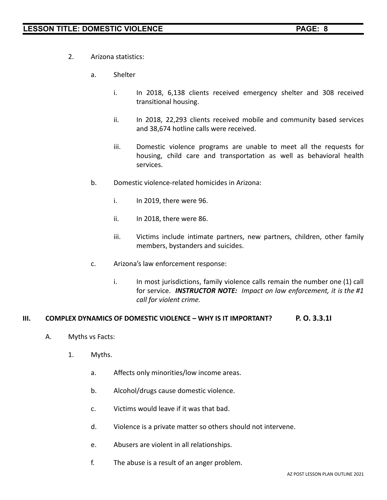- 2. Arizona statistics:
	- a. Shelter
		- i. In 2018, 6,138 clients received emergency shelter and 308 received transitional housing.
		- ii. In 2018, 22,293 clients received mobile and community based services and 38,674 hotline calls were received.
		- iii. Domestic violence programs are unable to meet all the requests for housing, child care and transportation as well as behavioral health services.
	- b. Domestic violence-related homicides in Arizona:
		- i. In 2019, there were 96.
		- ii. In 2018, there were 86.
		- iii. Victims include intimate partners, new partners, children, other family members, bystanders and suicides.
	- c. Arizona's law enforcement response:
		- i. In most jurisdictions, family violence calls remain the number one (1) call for service. *INSTRUCTOR NOTE: Impact on law enforcement, it is the #1 call for violent crime.*

### **III. COMPLEX DYNAMICS OF DOMESTIC VIOLENCE – WHY IS IT IMPORTANT? P. O. 3.3.1I**

- A. Myths vs Facts:
	- 1. Myths.
		- a. Affects only minorities/low income areas.
		- b. Alcohol/drugs cause domestic violence.
		- c. Victims would leave if it was that bad.
		- d. Violence is a private matter so others should not intervene.
		- e. Abusers are violent in all relationships.
		- f. The abuse is a result of an anger problem.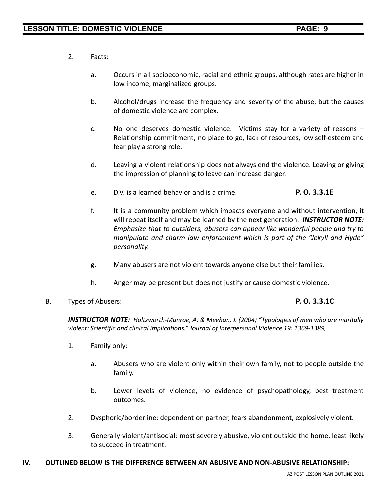- 2. Facts:
	- a. Occurs in all socioeconomic, racial and ethnic groups, although rates are higher in low income, marginalized groups.
	- b. Alcohol/drugs increase the frequency and severity of the abuse, but the causes of domestic violence are complex.
	- c. No one deserves domestic violence. Victims stay for a variety of reasons Relationship commitment, no place to go, lack of resources, low self-esteem and fear play a strong role.
	- d. Leaving a violent relationship does not always end the violence. Leaving or giving the impression of planning to leave can increase danger.
	- e. D.V. is a learned behavior and is a crime. **P. O. 3.3.1E**
	- f. It is a community problem which impacts everyone and without intervention, it will repeat itself and may be learned by the next generation. *INSTRUCTOR NOTE: Emphasize that to outsiders, abusers can appear like wonderful people and try to manipulate and charm law enforcement which is part of the "Jekyll and Hyde" personality.*
	- g. Many abusers are not violent towards anyone else but their families.
	- h. Anger may be present but does not justify or cause domestic violence.
- B. Types of Abusers: **P. O. 3.3.1C**

*INSTRUCTOR NOTE: Holtzworth-Munroe, A. & Meehan, J. (2004) "Typologies of men who are maritally violent: Scientific and clinical implications." Journal of Interpersonal Violence 19: 1369-1389,*

- 1. Family only:
	- a. Abusers who are violent only within their own family, not to people outside the family.
	- b. Lower levels of violence, no evidence of psychopathology, best treatment outcomes.
- 2. Dysphoric/borderline: dependent on partner, fears abandonment, explosively violent.
- 3. Generally violent/antisocial: most severely abusive, violent outside the home, least likely to succeed in treatment.

### **IV. OUTLINED BELOW IS THE DIFFERENCE BETWEEN AN ABUSIVE AND NON-ABUSIVE RELATIONSHIP:**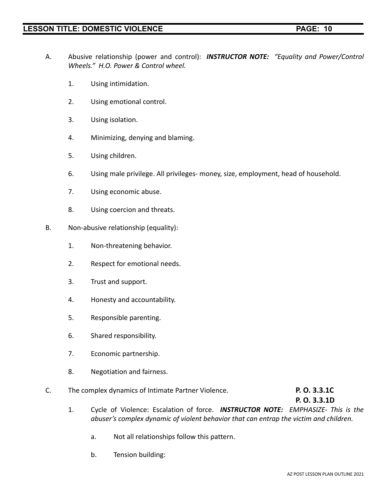- A. Abusive relationship (power and control): *INSTRUCTOR NOTE: "Equality and Power/Control Wheels." H.O. Power & Control wheel.*
	- 1. Using intimidation.
	- 2. Using emotional control.
	- 3. Using isolation.
	- 4. Minimizing, denying and blaming.
	- 5. Using children.
	- 6. Using male privilege. All privileges- money, size, employment, head of household.
	- 7. Using economic abuse.
	- 8. Using coercion and threats.
- B. Non-abusive relationship (equality):
	- 1. Non-threatening behavior.
	- 2. Respect for emotional needs.
	- 3. Trust and support.
	- 4. Honesty and accountability.
	- 5. Responsible parenting.
	- 6. Shared responsibility.
	- 7. Economic partnership.
	- 8. Negotiation and fairness.
- C. The complex dynamics of Intimate Partner Violence. **P. O. 3.3.1C**

**P. O. 3.3.1D**

- 1. Cycle of Violence: Escalation of force. *INSTRUCTOR NOTE: EMPHASIZE- This is the abuser's complex dynamic of violent behavior that can entrap the victim and children.*
	- a. Not all relationships follow this pattern.
	- b. Tension building: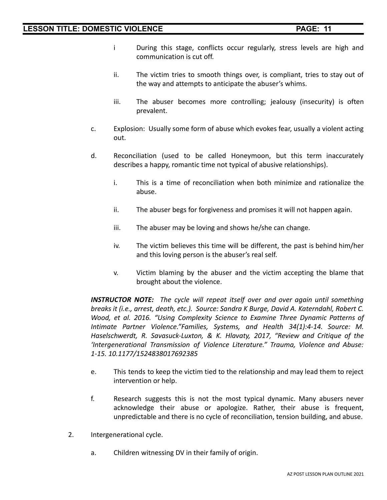- i During this stage, conflicts occur regularly, stress levels are high and communication is cut off.
- ii. The victim tries to smooth things over, is compliant, tries to stay out of the way and attempts to anticipate the abuser's whims.
- iii. The abuser becomes more controlling; jealousy (insecurity) is often prevalent.
- c. Explosion: Usually some form of abuse which evokes fear, usually a violent acting out.
- d. Reconciliation (used to be called Honeymoon, but this term inaccurately describes a happy, romantic time not typical of abusive relationships).
	- i. This is a time of reconciliation when both minimize and rationalize the abuse.
	- ii. The abuser begs for forgiveness and promises it will not happen again.
	- iii. The abuser may be loving and shows he/she can change.
	- iv. The victim believes this time will be different, the past is behind him/her and this loving person is the abuser's real self.
	- v. Victim blaming by the abuser and the victim accepting the blame that brought about the violence.

*INSTRUCTOR NOTE: The cycle will repeat itself over and over again until something breaks it (i.e., arrest, death, etc.). Source: Sandra K Burge, David A. Katerndahl, Robert C. Wood, et al. 2016. "Using Complexity Science to Examine Three Dynamic Patterns of Intimate Partner Violence."Families, Systems, and Health 34(1):4-14. Source: M. Haselschwerdt, R. Savasuck-Luxton, & K. Hlavaty, 2017, "Review and Critique of the 'Intergenerational Transmission of Violence Literature." Trauma, Violence and Abuse: 1-15. 10.1177/1524838017692385*

- e. This tends to keep the victim tied to the relationship and may lead them to reject intervention or help.
- f. Research suggests this is not the most typical dynamic. Many abusers never acknowledge their abuse or apologize. Rather, their abuse is frequent, unpredictable and there is no cycle of reconciliation, tension building, and abuse.
- 2. Intergenerational cycle.
	- a. Children witnessing DV in their family of origin.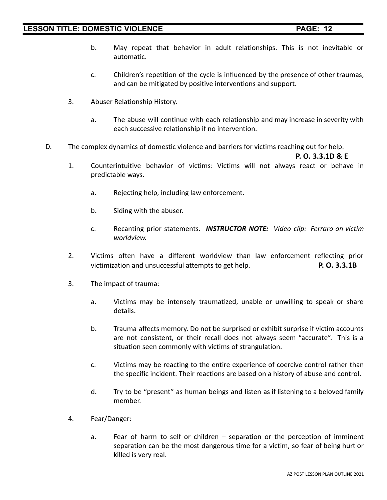- b. May repeat that behavior in adult relationships. This is not inevitable or automatic.
- c. Children's repetition of the cycle is influenced by the presence of other traumas, and can be mitigated by positive interventions and support.
- 3. Abuser Relationship History.
	- a. The abuse will continue with each relationship and may increase in severity with each successive relationship if no intervention.
- D. The complex dynamics of domestic violence and barriers for victims reaching out for help.

**P. O. 3.3.1D & E**

- 1. Counterintuitive behavior of victims: Victims will not always react or behave in predictable ways.
	- a. Rejecting help, including law enforcement.
	- b. Siding with the abuser.
	- c. Recanting prior statements. *INSTRUCTOR NOTE: Video clip: Ferraro on victim worldview.*
- 2. Victims often have a different worldview than law enforcement reflecting prior victimization and unsuccessful attempts to get help. **P. O. 3.3.1B**
- 3. The impact of trauma:
	- a. Victims may be intensely traumatized, unable or unwilling to speak or share details.
	- b. Trauma affects memory. Do not be surprised or exhibit surprise if victim accounts are not consistent, or their recall does not always seem "accurate". This is a situation seen commonly with victims of strangulation.
	- c. Victims may be reacting to the entire experience of coercive control rather than the specific incident. Their reactions are based on a history of abuse and control.
	- d. Try to be "present" as human beings and listen as if listening to a beloved family member.
- 4. Fear/Danger:
	- a. Fear of harm to self or children separation or the perception of imminent separation can be the most dangerous time for a victim, so fear of being hurt or killed is very real.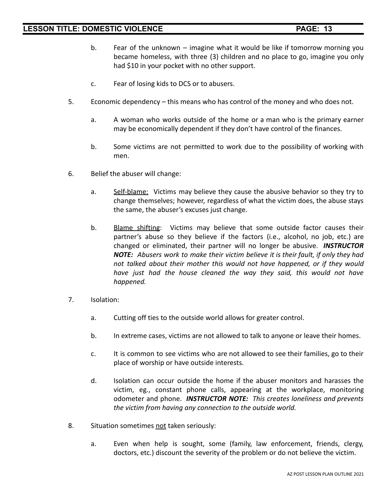- b. Fear of the unknown imagine what it would be like if tomorrow morning you became homeless, with three (3) children and no place to go, imagine you only had \$10 in your pocket with no other support.
- c. Fear of losing kids to DCS or to abusers.
- 5. Economic dependency this means who has control of the money and who does not.
	- a. A woman who works outside of the home or a man who is the primary earner may be economically dependent if they don't have control of the finances.
	- b. Some victims are not permitted to work due to the possibility of working with men.
- 6. Belief the abuser will change:
	- a. Self-blame: Victims may believe they cause the abusive behavior so they try to change themselves; however, regardless of what the victim does, the abuse stays the same, the abuser's excuses just change.
	- b. Blame shifting: Victims may believe that some outside factor causes their partner's abuse so they believe if the factors (i.e., alcohol, no job, etc.) are changed or eliminated, their partner will no longer be abusive. *INSTRUCTOR NOTE: Abusers work to make their victim believe it is their fault, if only they had not talked about their mother this would not have happened, or if they would have just had the house cleaned the way they said, this would not have happened.*
- 7. Isolation:
	- a. Cutting off ties to the outside world allows for greater control.
	- b. In extreme cases, victims are not allowed to talk to anyone or leave their homes.
	- c. It is common to see victims who are not allowed to see their families, go to their place of worship or have outside interests.
	- d. Isolation can occur outside the home if the abuser monitors and harasses the victim, eg., constant phone calls, appearing at the workplace, monitoring odometer and phone. *INSTRUCTOR NOTE: This creates loneliness and prevents the victim from having any connection to the outside world.*
- 8. Situation sometimes not taken seriously:
	- a. Even when help is sought, some (family, law enforcement, friends, clergy, doctors, etc.) discount the severity of the problem or do not believe the victim.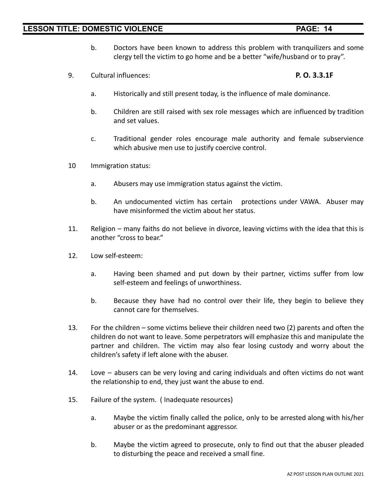- b. Doctors have been known to address this problem with tranquilizers and some clergy tell the victim to go home and be a better "wife/husband or to pray".
- 9. Cultural influences: **P. O. 3.3.1F**
	- a. Historically and still present today, is the influence of male dominance.
	- b. Children are still raised with sex role messages which are influenced by tradition and set values.
	- c. Traditional gender roles encourage male authority and female subservience which abusive men use to justify coercive control.
- 10 Immigration status:
	- a. Abusers may use immigration status against the victim.
	- b. An undocumented victim has certain protections under VAWA. Abuser may have misinformed the victim about her status.
- 11. Religion many faiths do not believe in divorce, leaving victims with the idea that this is another "cross to bear."
- 12. Low self-esteem:
	- a. Having been shamed and put down by their partner, victims suffer from low self-esteem and feelings of unworthiness.
	- b. Because they have had no control over their life, they begin to believe they cannot care for themselves.
- 13. For the children some victims believe their children need two (2) parents and often the children do not want to leave. Some perpetrators will emphasize this and manipulate the partner and children. The victim may also fear losing custody and worry about the children's safety if left alone with the abuser.
- 14. Love abusers can be very loving and caring individuals and often victims do not want the relationship to end, they just want the abuse to end.
- 15. Failure of the system. ( Inadequate resources)
	- a. Maybe the victim finally called the police, only to be arrested along with his/her abuser or as the predominant aggressor.
	- b. Maybe the victim agreed to prosecute, only to find out that the abuser pleaded to disturbing the peace and received a small fine.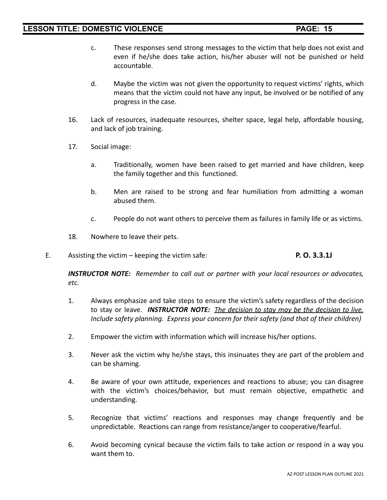- c. These responses send strong messages to the victim that help does not exist and even if he/she does take action, his/her abuser will not be punished or held accountable.
- d. Maybe the victim was not given the opportunity to request victims' rights, which means that the victim could not have any input, be involved or be notified of any progress in the case.
- 16. Lack of resources, inadequate resources, shelter space, legal help, affordable housing, and lack of job training.
- 17. Social image:
	- a. Traditionally, women have been raised to get married and have children, keep the family together and this functioned.
	- b. Men are raised to be strong and fear humiliation from admitting a woman abused them.
	- c. People do not want others to perceive them as failures in family life or as victims.
- 18. Nowhere to leave their pets.
- E. Assisting the victim keeping the victim safe: **P. O. 3.3.1J**

*INSTRUCTOR NOTE: Remember to call out or partner with your local resources or advocates, etc.*

- 1. Always emphasize and take steps to ensure the victim's safety regardless of the decision to stay or leave. *INSTRUCTOR NOTE: The decision to stay may be the decision to live. Include safety planning. Express your concern for their safety (and that of their children)*
- 2. Empower the victim with information which will increase his/her options.
- 3. Never ask the victim why he/she stays, this insinuates they are part of the problem and can be shaming.
- 4. Be aware of your own attitude, experiences and reactions to abuse; you can disagree with the victim's choices/behavior, but must remain objective, empathetic and understanding.
- 5. Recognize that victims' reactions and responses may change frequently and be unpredictable. Reactions can range from resistance/anger to cooperative/fearful.
- 6. Avoid becoming cynical because the victim fails to take action or respond in a way you want them to.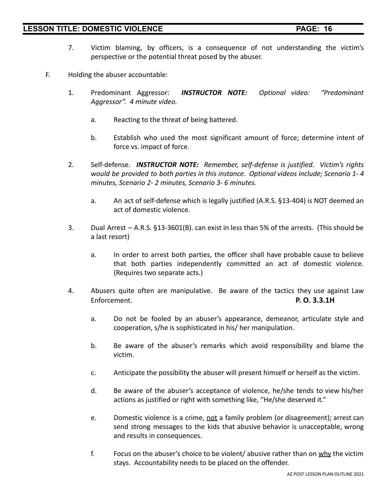- 7. Victim blaming, by officers, is a consequence of not understanding the victim's perspective or the potential threat posed by the abuser.
- F. Holding the abuser accountable:
	- 1. Predominant Aggressor: *INSTRUCTOR NOTE: Optional video: "Predominant Aggressor". 4 minute video.*
		- a. Reacting to the threat of being battered.
		- b. Establish who used the most significant amount of force; determine intent of force vs. impact of force.
	- 2. Self-defense. *INSTRUCTOR NOTE: Remember, self-defense is justified. Victim's rights would be provided to both parties in this instance. Optional videos include; Scenario 1- 4 minutes, Scenario 2- 2 minutes, Scenario 3- 6 minutes.*
		- a. An act of self-defense which is legally justified (A.R.S. §13-404) is NOT deemed an act of domestic violence.
	- 3. Dual Arrest A.R.S. §13-3601(B). can exist in less than 5% of the arrests. (This should be a last resort)
		- a. In order to arrest both parties, the officer shall have probable cause to believe that both parties independently committed an act of domestic violence. (Requires two separate acts.)
	- 4. Abusers quite often are manipulative. Be aware of the tactics they use against Law Enforcement. **P. O. 3.3.1H**
		- a. Do not be fooled by an abuser's appearance, demeanor, articulate style and cooperation, s/he is sophisticated in his/ her manipulation.
		- b. Be aware of the abuser's remarks which avoid responsibility and blame the victim.
		- c. Anticipate the possibility the abuser will present himself or herself as the victim.
		- d. Be aware of the abuser's acceptance of violence, he/she tends to view his/her actions as justified or right with something like, "He/she deserved it."
		- e. Domestic violence is a crime, not a family problem (or disagreement); arrest can send strong messages to the kids that abusive behavior is unacceptable, wrong and results in consequences.
		- f. Focus on the abuser's choice to be violent/ abusive rather than on  $why$  the victim stays. Accountability needs to be placed on the offender.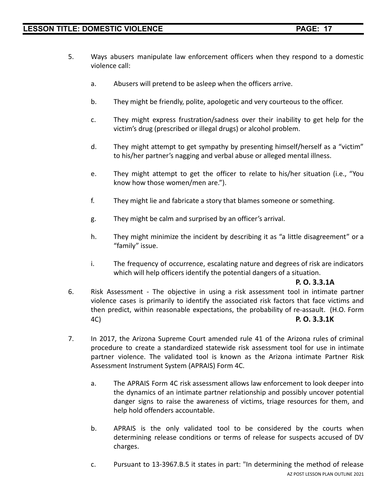- 5. Ways abusers manipulate law enforcement officers when they respond to a domestic violence call:
	- a. Abusers will pretend to be asleep when the officers arrive.
	- b. They might be friendly, polite, apologetic and very courteous to the officer.
	- c. They might express frustration/sadness over their inability to get help for the victim's drug (prescribed or illegal drugs) or alcohol problem.
	- d. They might attempt to get sympathy by presenting himself/herself as a "victim" to his/her partner's nagging and verbal abuse or alleged mental illness.
	- e. They might attempt to get the officer to relate to his/her situation (i.e., "You know how those women/men are.").
	- f. They might lie and fabricate a story that blames someone or something.
	- g. They might be calm and surprised by an officer's arrival.
	- h. They might minimize the incident by describing it as "a little disagreement" or a "family" issue.
	- i. The frequency of occurrence, escalating nature and degrees of risk are indicators which will help officers identify the potential dangers of a situation.

### **P. O. 3.3.1A**

- 6. Risk Assessment The objective in using a risk assessment tool in intimate partner violence cases is primarily to identify the associated risk factors that face victims and then predict, within reasonable expectations, the probability of re-assault. (H.O. Form 4C) **P. O. 3.3.1K**
- 7. In 2017, the Arizona Supreme Court amended rule 41 of the Arizona rules of criminal procedure to create a standardized statewide risk assessment tool for use in intimate partner violence. The validated tool is known as the Arizona intimate Partner Risk Assessment Instrument System (APRAIS) Form 4C.
	- a. The APRAIS Form 4C risk assessment allows law enforcement to look deeper into the dynamics of an intimate partner relationship and possibly uncover potential danger signs to raise the awareness of victims, triage resources for them, and help hold offenders accountable.
	- b. APRAIS is the only validated tool to be considered by the courts when determining release conditions or terms of release for suspects accused of DV charges.
	- c. Pursuant to 13-3967.B.5 it states in part: "In determining the method of release AZ POST LESSON PLAN OUTLINE 2021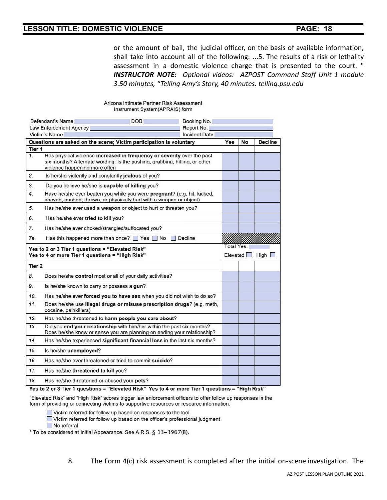or the amount of bail, the judicial officer, on the basis of available information, shall take into account all of the following: ...5. The results of a risk or lethality assessment in a domestic violence charge that is presented to the court. " *INSTRUCTOR NOTE: Optional videos: AZPOST Command Staff Unit 1 module 3.50 minutes, "Telling Amy's Story, 40 minutes. telling.psu.edu*

### Arizona intimate Partner Risk Assessment Instrument System(APRAIS) form

|                                                                                                     | Defendant's Name<br><b>DOB</b><br>Law Enforcement Agency                                                                                                                              | Booking No.<br>Report No.                    |     |    |                |
|-----------------------------------------------------------------------------------------------------|---------------------------------------------------------------------------------------------------------------------------------------------------------------------------------------|----------------------------------------------|-----|----|----------------|
|                                                                                                     | Victim's Name                                                                                                                                                                         | <b>Incident Date</b>                         |     |    |                |
|                                                                                                     | Questions are asked on the scene; Victim participation is voluntary                                                                                                                   |                                              | Yes | No | <b>Decline</b> |
| Tier 1                                                                                              |                                                                                                                                                                                       |                                              |     |    |                |
| 1.                                                                                                  | Has physical violence increased in frequency or severity over the past<br>six months? Alternate wording: Is the pushing, grabbing, hitting, or other<br>violence happening more often |                                              |     |    |                |
| 2.                                                                                                  | Is he/she violently and constantly jealous of you?                                                                                                                                    |                                              |     |    |                |
| 3.                                                                                                  | Do you believe he/she is capable of killing you?                                                                                                                                      |                                              |     |    |                |
| 4.                                                                                                  | Have he/she ever beaten you while you were pregnant? (e.g. hit, kicked,<br>shoved, pushed, thrown, or physically hurt with a weapon or object)                                        |                                              |     |    |                |
| 5.                                                                                                  | Has he/she ever used a weapon or object to hurt or threaten you?                                                                                                                      |                                              |     |    |                |
| 6.                                                                                                  | Has he/she ever tried to kill you?                                                                                                                                                    |                                              |     |    |                |
| 7.                                                                                                  | Has he/she ever choked/strangled/suffocated you?                                                                                                                                      |                                              |     |    |                |
| 7а.                                                                                                 | Has this happened more than once? $\Box$ Yes $\Box$ No $\Box$ Decline                                                                                                                 |                                              |     |    |                |
| Yes to 2 or 3 Tier 1 questions = "Elevated Risk"<br>Yes to 4 or more Tier 1 questions = "High Risk" |                                                                                                                                                                                       | <b>Total Yes:</b><br><b>Elevated</b><br>High |     |    |                |
| Tier <sub>2</sub>                                                                                   |                                                                                                                                                                                       |                                              |     |    |                |
| 8.                                                                                                  | Does he/she control most or all of your daily activities?                                                                                                                             |                                              |     |    |                |
| 9.                                                                                                  | Is he/she known to carry or possess a gun?                                                                                                                                            |                                              |     |    |                |
| 10.                                                                                                 | Has he/she ever forced you to have sex when you did not wish to do so?                                                                                                                |                                              |     |    |                |
| 11.                                                                                                 | Does he/she use illegal drugs or misuse prescription drugs? (e.g. meth,<br>cocaine, painkillers)                                                                                      |                                              |     |    |                |
| 12.                                                                                                 | Has he/she threatened to harm people you care about?                                                                                                                                  |                                              |     |    |                |
| 13.                                                                                                 | Did you end your relationship with him/her within the past six months?<br>Does he/she know or sense you are planning on ending your relationship?                                     |                                              |     |    |                |
| 14.                                                                                                 | Has he/she experienced significant financial loss in the last six months?                                                                                                             |                                              |     |    |                |
| 15.                                                                                                 | Is he/she unemployed?                                                                                                                                                                 |                                              |     |    |                |
| 16.                                                                                                 | Has he/she ever threatened or tried to commit suicide?                                                                                                                                |                                              |     |    |                |
| 17.                                                                                                 | Has he/she threatened to kill you?                                                                                                                                                    |                                              |     |    |                |
| 18.                                                                                                 | Has he/she threatened or abused your pets?                                                                                                                                            |                                              |     |    |                |
|                                                                                                     |                                                                                                                                                                                       |                                              |     |    |                |

Yes to 2 or 3 Tier 1 questions = "Elevated Risk" Yes to 4 or more Tier 1 questions = "High Risk"

"Elevated Risk" and "High Risk" scores trigger law enforcement officers to offer follow up responses in the form of providing or connecting victims to supportive resources or resource information.

Victim referred for follow up based on responses to the tool

Victim referred for follow up based on the officer's professional judgment

No referral

\* To be considered at Initial Appearance. See A.R.S. § 13-3967(B).

8. The Form 4(c) risk assessment is completed after the initial on-scene investigation. The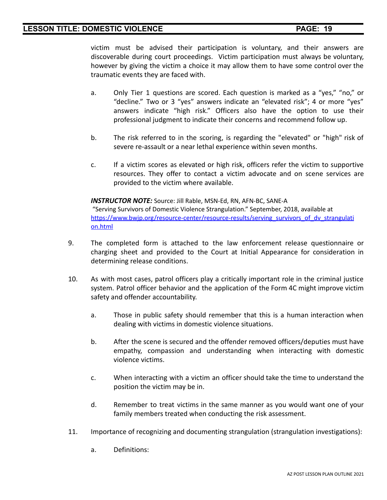victim must be advised their participation is voluntary, and their answers are discoverable during court proceedings. Victim participation must always be voluntary, however by giving the victim a choice it may allow them to have some control over the traumatic events they are faced with.

- a. Only Tier 1 questions are scored. Each question is marked as a "yes," "no," or "decline." Two or 3 "yes" answers indicate an "elevated risk"; 4 or more "yes" answers indicate "high risk." Officers also have the option to use their professional judgment to indicate their concerns and recommend follow up.
- b. The risk referred to in the scoring, is regarding the "elevated" or "high" risk of severe re-assault or a near lethal experience within seven months.
- c. If a victim scores as elevated or high risk, officers refer the victim to supportive resources. They offer to contact a victim advocate and on scene services are provided to the victim where available.

*INSTRUCTOR NOTE:* Source: Jill Rable, MSN-Ed, RN, AFN-BC, SANE-A "Serving Survivors of Domestic Violence Strangulation." September, 2018, available at https://www.bwip.org/resource-center/resource-results/serving\_survivors\_of\_dv\_strangulati [on.html](https://www.bwjp.org/resource-center/resource-results/serving_survivors_of_dv_strangulation.html)

- 9. The completed form is attached to the law enforcement release questionnaire or charging sheet and provided to the Court at Initial Appearance for consideration in determining release conditions.
- 10. As with most cases, patrol officers play a critically important role in the criminal justice system. Patrol officer behavior and the application of the Form 4C might improve victim safety and offender accountability.
	- a. Those in public safety should remember that this is a human interaction when dealing with victims in domestic violence situations.
	- b. After the scene is secured and the offender removed officers/deputies must have empathy, compassion and understanding when interacting with domestic violence victims.
	- c. When interacting with a victim an officer should take the time to understand the position the victim may be in.
	- d. Remember to treat victims in the same manner as you would want one of your family members treated when conducting the risk assessment.
- 11. Importance of recognizing and documenting strangulation (strangulation investigations):
	- a. Definitions: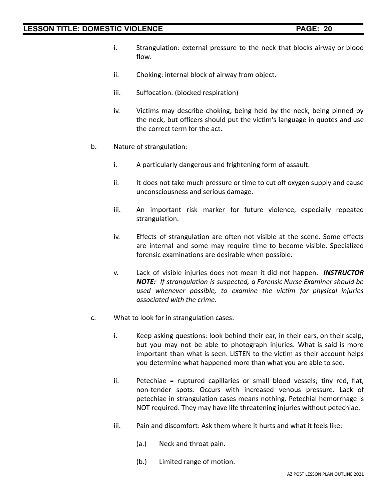- i. Strangulation: external pressure to the neck that blocks airway or blood flow.
- ii. Choking: internal block of airway from object.
- iii. Suffocation. (blocked respiration)
- iv. Victims may describe choking, being held by the neck, being pinned by the neck, but officers should put the victim's language in quotes and use the correct term for the act.
- b. Nature of strangulation:
	- i. A particularly dangerous and frightening form of assault.
	- ii. It does not take much pressure or time to cut off oxygen supply and cause unconsciousness and serious damage.
	- iii. An important risk marker for future violence, especially repeated strangulation.
	- iv. Effects of strangulation are often not visible at the scene. Some effects are internal and some may require time to become visible. Specialized forensic examinations are desirable when possible.
	- v. Lack of visible injuries does not mean it did not happen. *INSTRUCTOR NOTE: If strangulation is suspected, a Forensic Nurse Examiner should be used whenever possible, to examine the victim for physical injuries associated with the crime.*
- c. What to look for in strangulation cases:
	- i. Keep asking questions: look behind their ear, in their ears, on their scalp, but you may not be able to photograph injuries. What is said is more important than what is seen. LISTEN to the victim as their account helps you determine what happened more than what you are able to see.
	- ii. Petechiae = ruptured capillaries or small blood vessels; tiny red, flat, non-tender spots. Occurs with increased venous pressure. Lack of petechiae in strangulation cases means nothing. Petechial hemorrhage is NOT required. They may have life threatening injuries without petechiae.
	- iii. Pain and discomfort: Ask them where it hurts and what it feels like:
		- (a.) Neck and throat pain.
		- (b.) Limited range of motion.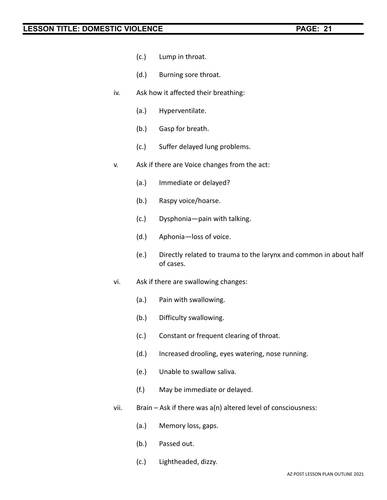- (c.) Lump in throat.
- (d.) Burning sore throat.
- iv. Ask how it affected their breathing:
	- (a.) Hyperventilate.
	- (b.) Gasp for breath.
	- (c.) Suffer delayed lung problems.
- v. Ask if there are Voice changes from the act:
	- (a.) Immediate or delayed?
	- (b.) Raspy voice/hoarse.
	- (c.) Dysphonia—pain with talking.
	- (d.) Aphonia—loss of voice.
	- (e.) Directly related to trauma to the larynx and common in about half of cases.
- vi. Ask if there are swallowing changes:
	- (a.) Pain with swallowing.
	- (b.) Difficulty swallowing.
	- (c.) Constant or frequent clearing of throat.
	- (d.) Increased drooling, eyes watering, nose running.
	- (e.) Unable to swallow saliva.
	- (f.) May be immediate or delayed.
- vii. Brain Ask if there was a(n) altered level of consciousness:
	- (a.) Memory loss, gaps.
	- (b.) Passed out.
	- (c.) Lightheaded, dizzy.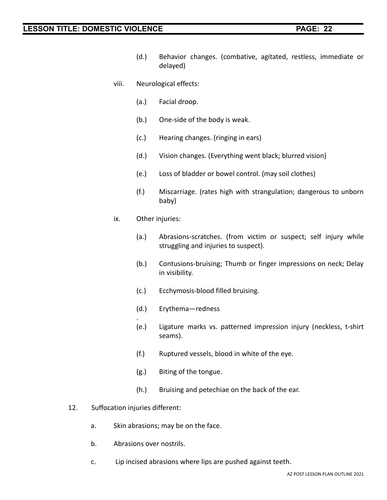- (d.) Behavior changes. (combative, agitated, restless, immediate or delayed)
- viii. Neurological effects:
	- (a.) Facial droop.
	- (b.) One-side of the body is weak.
	- (c.) Hearing changes. (ringing in ears)
	- (d.) Vision changes. (Everything went black; blurred vision)
	- (e.) Loss of bladder or bowel control. (may soil clothes)
	- (f.) Miscarriage. (rates high with strangulation; dangerous to unborn baby)
- ix. Other injuries:
	- (a.) Abrasions-scratches. (from victim or suspect; self injury while struggling and injuries to suspect).
	- (b.) Contusions-bruising; Thumb or finger impressions on neck; Delay in visibility.
	- (c.) Ecchymosis-blood filled bruising.
	- (d.) Erythema—redness
	- . (e.) Ligature marks vs. patterned impression injury (neckless, t-shirt seams).
	- (f.) Ruptured vessels, blood in white of the eye.
	- (g.) Biting of the tongue.
	- (h.) Bruising and petechiae on the back of the ear.
- 12. Suffocation injuries different:
	- a. Skin abrasions; may be on the face.
	- b. Abrasions over nostrils.
	- c. Lip incised abrasions where lips are pushed against teeth.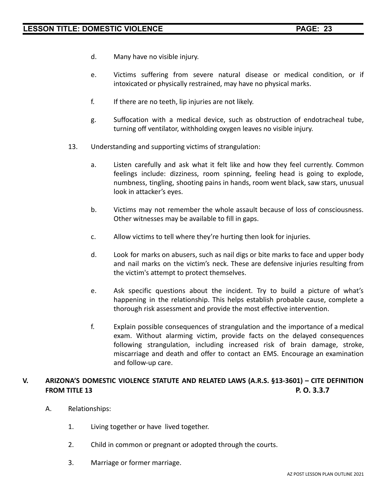- d. Many have no visible injury.
- e. Victims suffering from severe natural disease or medical condition, or if intoxicated or physically restrained, may have no physical marks.
- f. If there are no teeth, lip injuries are not likely.
- g. Suffocation with a medical device, such as obstruction of endotracheal tube, turning off ventilator, withholding oxygen leaves no visible injury.
- 13. Understanding and supporting victims of strangulation:
	- a. Listen carefully and ask what it felt like and how they feel currently. Common feelings include: dizziness, room spinning, feeling head is going to explode, numbness, tingling, shooting pains in hands, room went black, saw stars, unusual look in attacker's eyes.
	- b. Victims may not remember the whole assault because of loss of consciousness. Other witnesses may be available to fill in gaps.
	- c. Allow victims to tell where they're hurting then look for injuries.
	- d. Look for marks on abusers, such as nail digs or bite marks to face and upper body and nail marks on the victim's neck. These are defensive injuries resulting from the victim's attempt to protect themselves.
	- e. Ask specific questions about the incident. Try to build a picture of what's happening in the relationship. This helps establish probable cause, complete a thorough risk assessment and provide the most effective intervention.
	- f. Explain possible consequences of strangulation and the importance of a medical exam. Without alarming victim, provide facts on the delayed consequences following strangulation, including increased risk of brain damage, stroke, miscarriage and death and offer to contact an EMS. Encourage an examination and follow-up care.

# **V. ARIZONA'S DOMESTIC VIOLENCE STATUTE AND RELATED LAWS (A.R.S. §13-3601) – CITE DEFINITION FROM TITLE 13 P. O. 3.3.7**

- A. Relationships:
	- 1. Living together or have lived together.
	- 2. Child in common or pregnant or adopted through the courts.
	- 3. Marriage or former marriage.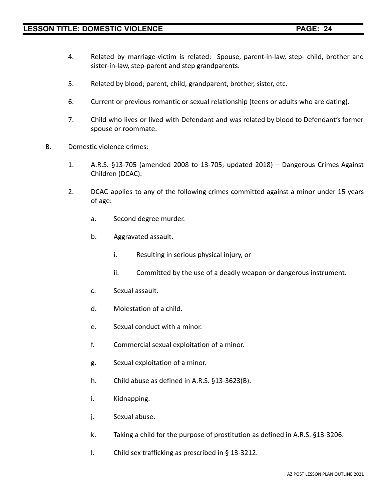- 4. Related by marriage-victim is related: Spouse, parent-in-law, step- child, brother and sister-in-law, step-parent and step grandparents.
- 5. Related by blood; parent, child, grandparent, brother, sister, etc.
- 6. Current or previous romantic or sexual relationship (teens or adults who are dating).
- 7. Child who lives or lived with Defendant and was related by blood to Defendant's former spouse or roommate.
- B. Domestic violence crimes:
	- 1. A.R.S. §13-705 (amended 2008 to 13-705; updated 2018) Dangerous Crimes Against Children (DCAC).
	- 2. DCAC applies to any of the following crimes committed against a minor under 15 years of age:
		- a. Second degree murder.
		- b. Aggravated assault.
			- i. Resulting in serious physical injury, or
			- ii. Committed by the use of a deadly weapon or dangerous instrument.
		- c. Sexual assault.
		- d. Molestation of a child.
		- e. Sexual conduct with a minor.
		- f. Commercial sexual exploitation of a minor.
		- g. Sexual exploitation of a minor.
		- h. Child abuse as defined in A.R.S. §13-3623(B).
		- i. Kidnapping.
		- j. Sexual abuse.
		- k. Taking a child for the purpose of prostitution as defined in A.R.S. §13-3206.
		- l. Child sex trafficking as prescribed in § 13-3212.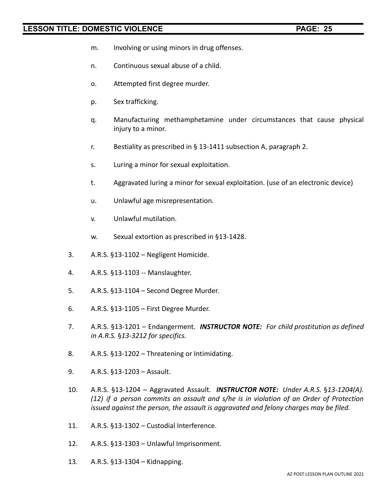- m. Involving or using minors in drug offenses.
- n. Continuous sexual abuse of a child.
- o. Attempted first degree murder.
- p. Sex trafficking.
- q. Manufacturing methamphetamine under circumstances that cause physical injury to a minor.
- r. Bestiality as prescribed in § 13-1411 subsection A, paragraph 2.
- s. Luring a minor for sexual exploitation.
- t. Aggravated luring a minor for sexual exploitation. (use of an electronic device)
- u. Unlawful age misrepresentation.
- v. Unlawful mutilation.
- w. Sexual extortion as prescribed in §13-1428.
- 3. A.R.S. §13-1102 Negligent Homicide.
- 4. A.R.S. §13-1103 -- Manslaughter.
- 5. A.R.S. §13-1104 Second Degree Murder.
- 6. A.R.S. §13-1105 First Degree Murder.
- 7. A.R.S. §13-1201 Endangerment. *INSTRUCTOR NOTE: For child prostitution as defined in A.R.S.* §*13-3212 for specifics.*
- 8. A.R.S. §13-1202 Threatening or Intimidating.
- 9. A.R.S. §13-1203 Assault.
- 10. A.R.S. §13-1204 Aggravated Assault. *INSTRUCTOR NOTE: Under A.R.S.* §*13-1204(A). (12) if a person commits an assault and s/he is in violation of an Order of Protection issued against the person, the assault is aggravated and felony charges may be filed.*
- 11. A.R.S. §13-1302 Custodial Interference.
- 12. A.R.S. §13-1303 Unlawful Imprisonment.
- 13. A.R.S. §13-1304 Kidnapping.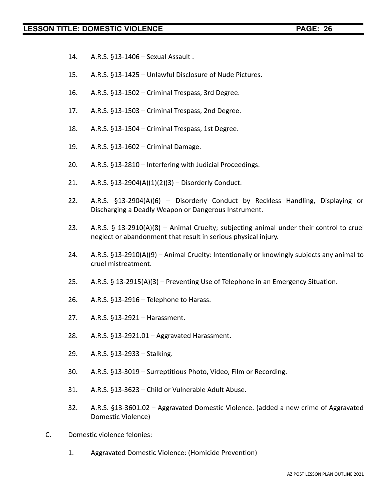- 14. A.R.S. §13-1406 Sexual Assault .
- 15. A.R.S. §13-1425 Unlawful Disclosure of Nude Pictures.
- 16. A.R.S. §13-1502 Criminal Trespass, 3rd Degree.
- 17. A.R.S. §13-1503 Criminal Trespass, 2nd Degree.
- 18. A.R.S. §13-1504 Criminal Trespass, 1st Degree.
- 19. A.R.S. §13-1602 Criminal Damage.
- 20. A.R.S. §13-2810 Interfering with Judicial Proceedings.
- 21. A.R.S. §13-2904(A)(1)(2)(3) Disorderly Conduct.
- 22. A.R.S. §13-2904(A)(6) Disorderly Conduct by Reckless Handling, Displaying or Discharging a Deadly Weapon or Dangerous Instrument.
- 23. A.R.S. § 13-2910(A)(8) Animal Cruelty; subjecting animal under their control to cruel neglect or abandonment that result in serious physical injury.
- 24. A.R.S. §13-2910(A)(9) Animal Cruelty: Intentionally or knowingly subjects any animal to cruel mistreatment.
- 25. A.R.S. § 13-2915(A)(3) Preventing Use of Telephone in an Emergency Situation.
- 26. A.R.S. §13-2916 Telephone to Harass.
- 27. A.R.S. §13-2921 Harassment.
- 28. A.R.S. §13-2921.01 Aggravated Harassment.
- 29. A.R.S. §13-2933 Stalking.
- 30. A.R.S. §13-3019 Surreptitious Photo, Video, Film or Recording.
- 31. A.R.S. §13-3623 Child or Vulnerable Adult Abuse.
- 32. A.R.S. §13-3601.02 Aggravated Domestic Violence. (added a new crime of Aggravated Domestic Violence)
- C. Domestic violence felonies:
	- 1. Aggravated Domestic Violence: (Homicide Prevention)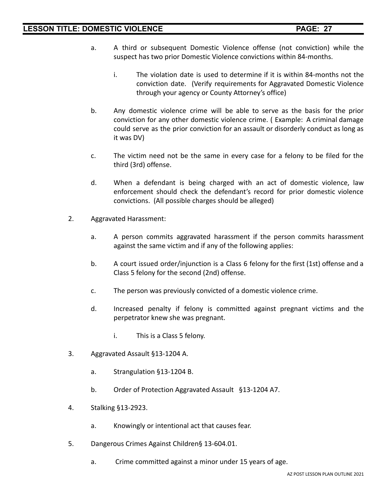- a. A third or subsequent Domestic Violence offense (not conviction) while the suspect has two prior Domestic Violence convictions within 84-months.
	- i. The violation date is used to determine if it is within 84-months not the conviction date. (Verify requirements for Aggravated Domestic Violence through your agency or County Attorney's office)
- b. Any domestic violence crime will be able to serve as the basis for the prior conviction for any other domestic violence crime. ( Example: A criminal damage could serve as the prior conviction for an assault or disorderly conduct as long as it was DV)
- c. The victim need not be the same in every case for a felony to be filed for the third (3rd) offense.
- d. When a defendant is being charged with an act of domestic violence, law enforcement should check the defendant's record for prior domestic violence convictions. (All possible charges should be alleged)
- 2. Aggravated Harassment:
	- a. A person commits aggravated harassment if the person commits harassment against the same victim and if any of the following applies:
	- b. A court issued order/injunction is a Class 6 felony for the first (1st) offense and a Class 5 felony for the second (2nd) offense.
	- c. The person was previously convicted of a domestic violence crime.
	- d. Increased penalty if felony is committed against pregnant victims and the perpetrator knew she was pregnant.
		- i. This is a Class 5 felony.
- 3. Aggravated Assault §13-1204 A.
	- a. Strangulation §13-1204 B.
	- b. Order of Protection Aggravated Assault §13-1204 A7.
- 4. Stalking §13-2923.
	- a. Knowingly or intentional act that causes fear.
- 5. Dangerous Crimes Against Children§ 13-604.01.
	- a. Crime committed against a minor under 15 years of age.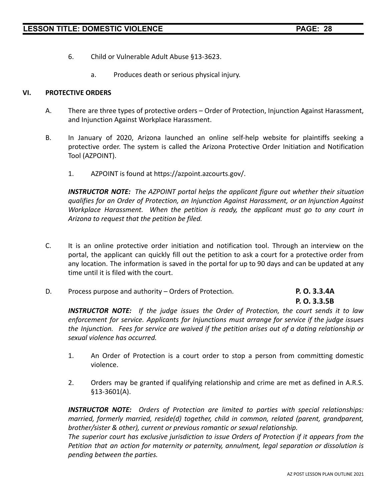- 6. Child or Vulnerable Adult Abuse §13-3623.
	- a. Produces death or serious physical injury.

### **VI. PROTECTIVE ORDERS**

- A. There are three types of protective orders Order of Protection, Injunction Against Harassment, and Injunction Against Workplace Harassment.
- B. In January of 2020, Arizona launched an online self-help website for plaintiffs seeking a protective order. The system is called the Arizona Protective Order Initiation and Notification Tool (AZPOINT).
	- 1. AZPOINT is found at https://azpoint.azcourts.gov/.

*INSTRUCTOR NOTE: The AZPOINT portal helps the applicant figure out whether their situation qualifies for an Order of Protection, an Injunction Against Harassment, or an Injunction Against Workplace Harassment. When the petition is ready, the applicant must go to any court in Arizona to request that the petition be filed.*

- C. It is an online protective order initiation and notification tool. Through an interview on the portal, the applicant can quickly fill out the petition to ask a court for a protective order from any location. The information is saved in the portal for up to 90 days and can be updated at any time until it is filed with the court.
- D. Process purpose and authority Orders of Protection. **P. O. 3.3.4A**

# **P. O. 3.3.5B**

*INSTRUCTOR NOTE: If the judge issues the Order of Protection, the court sends it to law enforcement for service. Applicants for Injunctions must arrange for service if the judge issues the Injunction. Fees for service are waived if the petition arises out of a dating relationship or sexual violence has occurred.*

- 1. An Order of Protection is a court order to stop a person from committing domestic violence.
- 2. Orders may be granted if qualifying relationship and crime are met as defined in A.R.S. §13-3601(A).

*INSTRUCTOR NOTE: Orders of Protection are limited to parties with special relationships: married, formerly married, reside(d) together, child in common, related (parent, grandparent, brother/sister & other), current or previous romantic or sexual relationship.*

*The superior court has exclusive jurisdiction to issue Orders of Protection if it appears from the Petition that an action for maternity or paternity, annulment, legal separation or dissolution is pending between the parties.*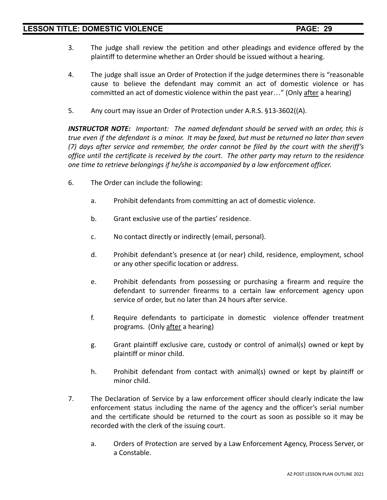- 3. The judge shall review the petition and other pleadings and evidence offered by the plaintiff to determine whether an Order should be issued without a hearing.
- 4. The judge shall issue an Order of Protection if the judge determines there is "reasonable cause to believe the defendant may commit an act of domestic violence or has committed an act of domestic violence within the past year…" (Only after a hearing)
- 5. Any court may issue an Order of Protection under A.R.S. §13-3602((A).

*INSTRUCTOR NOTE: Important: The named defendant should be served with an order, this is* true even if the defendant is a minor. It may be faxed, but must be returned no later than seven *(7) days after service and remember, the order cannot be filed by the court with the sheriff's office until the certificate is received by the court. The other party may return to the residence one time to retrieve belongings if he/she is accompanied by a law enforcement officer.*

- 6. The Order can include the following:
	- a. Prohibit defendants from committing an act of domestic violence.
	- b. Grant exclusive use of the parties' residence.
	- c. No contact directly or indirectly (email, personal).
	- d. Prohibit defendant's presence at (or near) child, residence, employment, school or any other specific location or address.
	- e. Prohibit defendants from possessing or purchasing a firearm and require the defendant to surrender firearms to a certain law enforcement agency upon service of order, but no later than 24 hours after service.
	- f. Require defendants to participate in domestic violence offender treatment programs. (Only after a hearing)
	- g. Grant plaintiff exclusive care, custody or control of animal(s) owned or kept by plaintiff or minor child.
	- h. Prohibit defendant from contact with animal(s) owned or kept by plaintiff or minor child.
- 7. The Declaration of Service by a law enforcement officer should clearly indicate the law enforcement status including the name of the agency and the officer's serial number and the certificate should be returned to the court as soon as possible so it may be recorded with the clerk of the issuing court.
	- a. Orders of Protection are served by a Law Enforcement Agency, Process Server, or a Constable.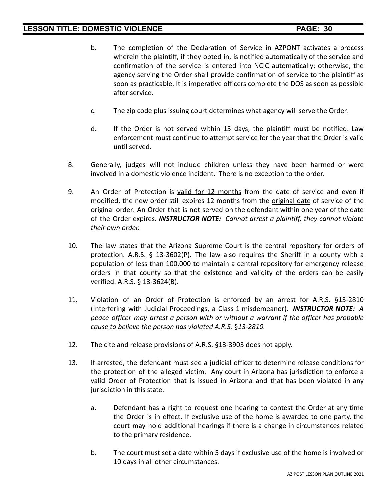- b. The completion of the Declaration of Service in AZPONT activates a process wherein the plaintiff, if they opted in, is notified automatically of the service and confirmation of the service is entered into NCIC automatically; otherwise, the agency serving the Order shall provide confirmation of service to the plaintiff as soon as practicable. It is imperative officers complete the DOS as soon as possible after service.
- c. The zip code plus issuing court determines what agency will serve the Order.
- d. If the Order is not served within 15 days, the plaintiff must be notified. Law enforcement must continue to attempt service for the year that the Order is valid until served.
- 8. Generally, judges will not include children unless they have been harmed or were involved in a domestic violence incident. There is no exception to the order.
- 9. An Order of Protection is valid for 12 months from the date of service and even if modified, the new order still expires 12 months from the original date of service of the original order. An Order that is not served on the defendant within one year of the date of the Order expires. *INSTRUCTOR NOTE: Cannot arrest a plaintiff, they cannot violate their own order.*
- 10. The law states that the Arizona Supreme Court is the central repository for orders of protection. A.R.S.  $\S$  13-3602(P). The law also requires the Sheriff in a county with a population of less than 100,000 to maintain a central repository for emergency release orders in that county so that the existence and validity of the orders can be easily verified. A.R.S. § 13-3624(B).
- 11. Violation of an Order of Protection is enforced by an arrest for A.R.S. §13-2810 (Interfering with Judicial Proceedings, a Class 1 misdemeanor). *INSTRUCTOR NOTE: A peace officer may arrest a person with or without a warrant if the officer has probable cause to believe the person has violated A.R.S.* §*13-2810.*
- 12. The cite and release provisions of A.R.S. §13-3903 does not apply.
- 13. If arrested, the defendant must see a judicial officer to determine release conditions for the protection of the alleged victim. Any court in Arizona has jurisdiction to enforce a valid Order of Protection that is issued in Arizona and that has been violated in any jurisdiction in this state.
	- a. Defendant has a right to request one hearing to contest the Order at any time the Order is in effect. If exclusive use of the home is awarded to one party, the court may hold additional hearings if there is a change in circumstances related to the primary residence.
	- b. The court must set a date within 5 days if exclusive use of the home is involved or 10 days in all other circumstances.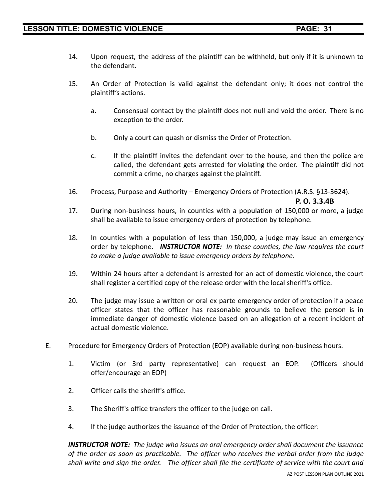- 14. Upon request, the address of the plaintiff can be withheld, but only if it is unknown to the defendant.
- 15. An Order of Protection is valid against the defendant only; it does not control the plaintiff's actions.
	- a. Consensual contact by the plaintiff does not null and void the order. There is no exception to the order.
	- b. Only a court can quash or dismiss the Order of Protection.
	- c. If the plaintiff invites the defendant over to the house, and then the police are called, the defendant gets arrested for violating the order. The plaintiff did not commit a crime, no charges against the plaintiff.
- 16. Process, Purpose and Authority Emergency Orders of Protection (A.R.S. §13-3624).

**P. O. 3.3.4B**

- 17. During non-business hours, in counties with a population of 150,000 or more, a judge shall be available to issue emergency orders of protection by telephone.
- 18. In counties with a population of less than 150,000, a judge may issue an emergency order by telephone. *INSTRUCTOR NOTE: In these counties, the law requires the court to make a judge available to issue emergency orders by telephone.*
- 19. Within 24 hours after a defendant is arrested for an act of domestic violence, the court shall register a certified copy of the release order with the local sheriff's office.
- 20. The judge may issue a written or oral ex parte emergency order of protection if a peace officer states that the officer has reasonable grounds to believe the person is in immediate danger of domestic violence based on an allegation of a recent incident of actual domestic violence.
- E. Procedure for Emergency Orders of Protection (EOP) available during non-business hours.
	- 1. Victim (or 3rd party representative) can request an EOP. (Officers should offer/encourage an EOP)
	- 2. Officer calls the sheriff's office.
	- 3. The Sheriff's office transfers the officer to the judge on call.
	- 4. If the judge authorizes the issuance of the Order of Protection, the officer:

*INSTRUCTOR NOTE: The judge who issues an oral emergency order shall document the issuance of the order as soon as practicable. The officer who receives the verbal order from the judge* shall write and sign the order. The officer shall file the certificate of service with the court and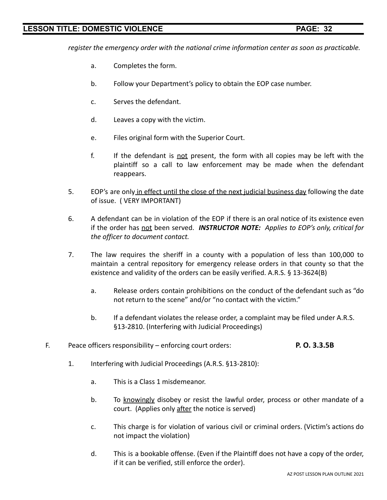*register the emergency order with the national crime information center as soon as practicable.*

- a. Completes the form.
- b. Follow your Department's policy to obtain the EOP case number.
- c. Serves the defendant.
- d. Leaves a copy with the victim.
- e. Files original form with the Superior Court.
- f. If the defendant is not present, the form with all copies may be left with the plaintiff so a call to law enforcement may be made when the defendant reappears.
- 5. EOP's are only in effect until the close of the next judicial business day following the date of issue. ( VERY IMPORTANT)
- 6. A defendant can be in violation of the EOP if there is an oral notice of its existence even if the order has not been served. *INSTRUCTOR NOTE: Applies to EOP's only, critical for the officer to document contact.*
- 7. The law requires the sheriff in a county with a population of less than 100,000 to maintain a central repository for emergency release orders in that county so that the existence and validity of the orders can be easily verified. A.R.S. § 13-3624(B)
	- a. Release orders contain prohibitions on the conduct of the defendant such as "do not return to the scene" and/or "no contact with the victim."
	- b. If a defendant violates the release order, a complaint may be filed under A.R.S. §13-2810. (Interfering with Judicial Proceedings)
- F. Peace officers responsibility enforcing court orders: **P. O. 3.3.5B**
	- 1. Interfering with Judicial Proceedings (A.R.S. §13-2810):
		- a. This is a Class 1 misdemeanor.
		- b. To knowingly disobey or resist the lawful order, process or other mandate of a court. (Applies only after the notice is served)
		- c. This charge is for violation of various civil or criminal orders. (Victim's actions do not impact the violation)
		- d. This is a bookable offense. (Even if the Plaintiff does not have a copy of the order, if it can be verified, still enforce the order).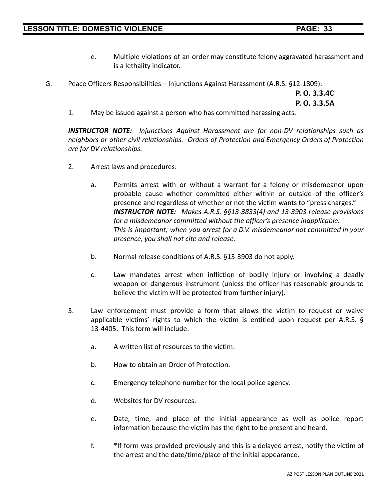- e. Multiple violations of an order may constitute felony aggravated harassment and is a lethality indicator.
- G. Peace Officers Responsibilities Injunctions Against Harassment (A.R.S. §12-1809):

**P. O. 3.3.4C P. O. 3.3.5A**

1. May be issued against a person who has committed harassing acts.

*INSTRUCTOR NOTE: Injunctions Against Harassment are for non-DV relationships such as neighbors or other civil relationships. Orders of Protection and Emergency Orders of Protection are for DV relationships.*

- 2. Arrest laws and procedures:
	- a. Permits arrest with or without a warrant for a felony or misdemeanor upon probable cause whether committed either within or outside of the officer's presence and regardless of whether or not the victim wants to "press charges." *INSTRUCTOR NOTE: Makes A.R.S. §§13-3833(4) and 13-3903 release provisions for a misdemeanor committed without the officer's presence inapplicable. This is important; when you arrest for a D.V. misdemeanor not committed in your presence, you shall not cite and release.*
	- b. Normal release conditions of A.R.S. §13-3903 do not apply.
	- c. Law mandates arrest when infliction of bodily injury or involving a deadly weapon or dangerous instrument (unless the officer has reasonable grounds to believe the victim will be protected from further injury).
- 3. Law enforcement must provide a form that allows the victim to request or waive applicable victims' rights to which the victim is entitled upon request per A.R.S. § 13-4405. This form will include:
	- a. A written list of resources to the victim:
	- b. How to obtain an Order of Protection.
	- c. Emergency telephone number for the local police agency.
	- d. Websites for DV resources.
	- e. Date, time, and place of the initial appearance as well as police report information because the victim has the right to be present and heard.
	- f. \*If form was provided previously and this is a delayed arrest, notify the victim of the arrest and the date/time/place of the initial appearance.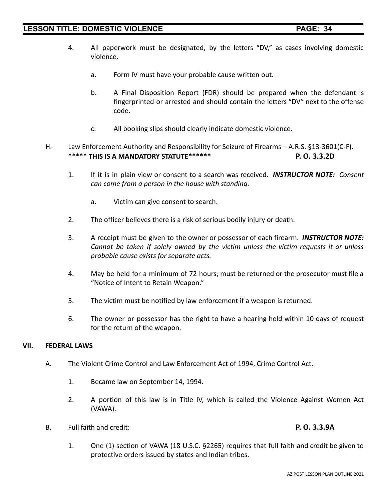- 4. All paperwork must be designated, by the letters "DV," as cases involving domestic violence.
	- a. Form IV must have your probable cause written out.
	- b. A Final Disposition Report (FDR) should be prepared when the defendant is fingerprinted or arrested and should contain the letters "DV" next to the offense code.
	- c. All booking slips should clearly indicate domestic violence.
- H. Law Enforcement Authority and Responsibility for Seizure of Firearms A.R.S. §13-3601(C-F). \*\*\*\*\* **THIS IS A MANDATORY STATUTE\*\*\*\*\*\* P. O. 3.3.2D**
	- 1. If it is in plain view or consent to a search was received. *INSTRUCTOR NOTE: Consent can come from a person in the house with standing.*
		- a. Victim can give consent to search.
	- 2. The officer believes there is a risk of serious bodily injury or death.
	- 3. A receipt must be given to the owner or possessor of each firearm. *INSTRUCTOR NOTE: Cannot be taken if solely owned by the victim unless the victim requests it or unless probable cause exists for separate acts.*
	- 4. May be held for a minimum of 72 hours; must be returned or the prosecutor must file a "Notice of Intent to Retain Weapon."
	- 5. The victim must be notified by law enforcement if a weapon is returned.
	- 6. The owner or possessor has the right to have a hearing held within 10 days of request for the return of the weapon.

# **VII. FEDERAL LAWS**

- A. The Violent Crime Control and Law Enforcement Act of 1994, Crime Control Act.
	- 1. Became law on September 14, 1994.
	- 2. A portion of this law is in Title IV, which is called the Violence Against Women Act (VAWA).
- B. Full faith and credit: **P. O. 3.3.9A**

1. One (1) section of VAWA (18 U.S.C. §2265) requires that full faith and credit be given to protective orders issued by states and Indian tribes.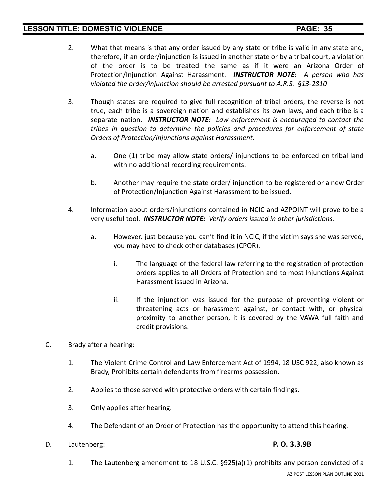- 2. What that means is that any order issued by any state or tribe is valid in any state and, therefore, if an order/injunction is issued in another state or by a tribal court, a violation of the order is to be treated the same as if it were an Arizona Order of Protection/Injunction Against Harassment. *INSTRUCTOR NOTE: A person who has violated the order/injunction should be arrested pursuant to A.R.S.* §*13-2810*
- 3. Though states are required to give full recognition of tribal orders, the reverse is not true, each tribe is a sovereign nation and establishes its own laws, and each tribe is a separate nation. *INSTRUCTOR NOTE: Law enforcement is encouraged to contact the tribes in question to determine the policies and procedures for enforcement of state Orders of Protection/Injunctions against Harassment.*
	- a. One (1) tribe may allow state orders/ injunctions to be enforced on tribal land with no additional recording requirements.
	- b. Another may require the state order/ injunction to be registered or a new Order of Protection/Injunction Against Harassment to be issued.
- 4. Information about orders/injunctions contained in NCIC and AZPOINT will prove to be a very useful tool. *INSTRUCTOR NOTE: Verify orders issued in other jurisdictions.*
	- a. However, just because you can't find it in NCIC, if the victim says she was served, you may have to check other databases (CPOR).
		- i. The language of the federal law referring to the registration of protection orders applies to all Orders of Protection and to most Injunctions Against Harassment issued in Arizona.
		- ii. If the injunction was issued for the purpose of preventing violent or threatening acts or harassment against, or contact with, or physical proximity to another person, it is covered by the VAWA full faith and credit provisions.
- C. Brady after a hearing:
	- 1. The Violent Crime Control and Law Enforcement Act of 1994, 18 USC 922, also known as Brady, Prohibits certain defendants from firearms possession.
	- 2. Applies to those served with protective orders with certain findings.
	- 3. Only applies after hearing.
	- 4. The Defendant of an Order of Protection has the opportunity to attend this hearing.
- D. Lautenberg: **P. O. 3.3.9B**

1. The Lautenberg amendment to 18 U.S.C. §925(a)(1) prohibits any person convicted of a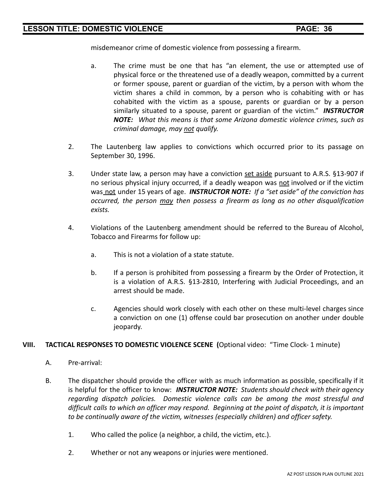misdemeanor crime of domestic violence from possessing a firearm.

- a. The crime must be one that has "an element, the use or attempted use of physical force or the threatened use of a deadly weapon, committed by a current or former spouse, parent or guardian of the victim, by a person with whom the victim shares a child in common, by a person who is cohabiting with or has cohabited with the victim as a spouse, parents or guardian or by a person similarly situated to a spouse, parent or guardian of the victim." *INSTRUCTOR NOTE: What this means is that some Arizona domestic violence crimes, such as criminal damage, may not qualify.*
- 2. The Lautenberg law applies to convictions which occurred prior to its passage on September 30, 1996.
- 3. Under state law, a person may have a conviction set aside pursuant to A.R.S. §13-907 if no serious physical injury occurred, if a deadly weapon was not involved or if the victim was not under 15 years of age. *INSTRUCTOR NOTE: If a "set aside" of the conviction has occurred, the person may then possess a firearm as long as no other disqualification exists.*
- 4. Violations of the Lautenberg amendment should be referred to the Bureau of Alcohol, Tobacco and Firearms for follow up:
	- a. This is not a violation of a state statute.
	- b. If a person is prohibited from possessing a firearm by the Order of Protection, it is a violation of A.R.S. §13-2810, Interfering with Judicial Proceedings, and an arrest should be made.
	- c. Agencies should work closely with each other on these multi-level charges since a conviction on one (1) offense could bar prosecution on another under double jeopardy.

### **VIII. TACTICAL RESPONSES TO DOMESTIC VIOLENCE SCENE (**Optional video: "Time Clock- 1 minute)

- A. Pre-arrival:
- B. The dispatcher should provide the officer with as much information as possible, specifically if it is helpful for the officer to know: *INSTRUCTOR NOTE: Students should check with their agency regarding dispatch policies. Domestic violence calls can be among the most stressful and difficult calls to which an officer may respond. Beginning at the point of dispatch, it is important to be continually aware of the victim, witnesses (especially children) and officer safety.*
	- 1. Who called the police (a neighbor, a child, the victim, etc.).
	- 2. Whether or not any weapons or injuries were mentioned.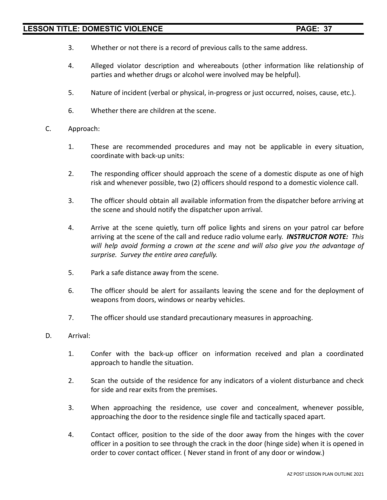- 3. Whether or not there is a record of previous calls to the same address.
- 4. Alleged violator description and whereabouts (other information like relationship of parties and whether drugs or alcohol were involved may be helpful).
- 5. Nature of incident (verbal or physical, in-progress or just occurred, noises, cause, etc.).
- 6. Whether there are children at the scene.
- C. Approach:
	- 1. These are recommended procedures and may not be applicable in every situation, coordinate with back-up units:
	- 2. The responding officer should approach the scene of a domestic dispute as one of high risk and whenever possible, two (2) officers should respond to a domestic violence call.
	- 3. The officer should obtain all available information from the dispatcher before arriving at the scene and should notify the dispatcher upon arrival.
	- 4. Arrive at the scene quietly, turn off police lights and sirens on your patrol car before arriving at the scene of the call and reduce radio volume early. *INSTRUCTOR NOTE: This will help avoid forming a crown at the scene and will also give you the advantage of surprise. Survey the entire area carefully.*
	- 5. Park a safe distance away from the scene.
	- 6. The officer should be alert for assailants leaving the scene and for the deployment of weapons from doors, windows or nearby vehicles.
	- 7. The officer should use standard precautionary measures in approaching.
- D. Arrival:
	- 1. Confer with the back-up officer on information received and plan a coordinated approach to handle the situation.
	- 2. Scan the outside of the residence for any indicators of a violent disturbance and check for side and rear exits from the premises.
	- 3. When approaching the residence, use cover and concealment, whenever possible, approaching the door to the residence single file and tactically spaced apart.
	- 4. Contact officer, position to the side of the door away from the hinges with the cover officer in a position to see through the crack in the door (hinge side) when it is opened in order to cover contact officer. ( Never stand in front of any door or window.)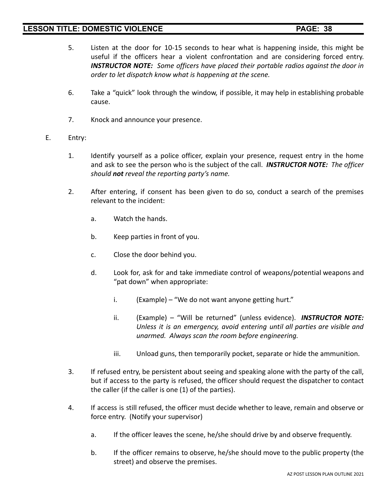- 5. Listen at the door for 10-15 seconds to hear what is happening inside, this might be useful if the officers hear a violent confrontation and are considering forced entry. *INSTRUCTOR NOTE: Some officers have placed their portable radios against the door in order to let dispatch know what is happening at the scene.*
- 6. Take a "quick" look through the window, if possible, it may help in establishing probable cause.
- 7. Knock and announce your presence.

### E. Entry:

- 1. Identify yourself as a police officer, explain your presence, request entry in the home and ask to see the person who is the subject of the call. *INSTRUCTOR NOTE: The officer should not reveal the reporting party's name.*
- 2. After entering, if consent has been given to do so, conduct a search of the premises relevant to the incident:
	- a. Watch the hands.
	- b. Keep parties in front of you.
	- c. Close the door behind you.
	- d. Look for, ask for and take immediate control of weapons/potential weapons and "pat down" when appropriate:
		- i. (Example) "We do not want anyone getting hurt."
		- ii. (Example) "Will be returned" (unless evidence). *INSTRUCTOR NOTE: Unless it is an emergency, avoid entering until all parties are visible and unarmed. Always scan the room before engineering.*
		- iii. Unload guns, then temporarily pocket, separate or hide the ammunition.
- 3. If refused entry, be persistent about seeing and speaking alone with the party of the call, but if access to the party is refused, the officer should request the dispatcher to contact the caller (if the caller is one (1) of the parties).
- 4. If access is still refused, the officer must decide whether to leave, remain and observe or force entry. (Notify your supervisor)
	- a. If the officer leaves the scene, he/she should drive by and observe frequently.
	- b. If the officer remains to observe, he/she should move to the public property (the street) and observe the premises.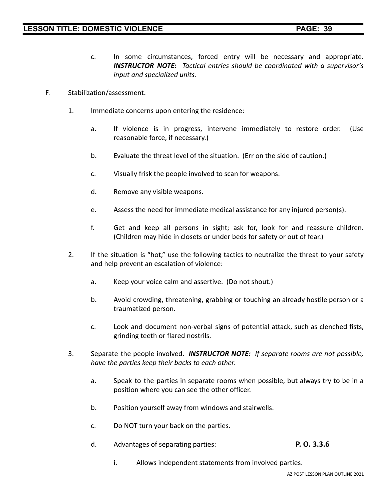- c. In some circumstances, forced entry will be necessary and appropriate. *INSTRUCTOR NOTE: Tactical entries should be coordinated with a supervisor's input and specialized units.*
- F. Stabilization/assessment.
	- 1. Immediate concerns upon entering the residence:
		- a. If violence is in progress, intervene immediately to restore order. (Use reasonable force, if necessary.)
		- b. Evaluate the threat level of the situation. (Err on the side of caution.)
		- c. Visually frisk the people involved to scan for weapons.
		- d. Remove any visible weapons.
		- e. Assess the need for immediate medical assistance for any injured person(s).
		- f. Get and keep all persons in sight; ask for, look for and reassure children. (Children may hide in closets or under beds for safety or out of fear.)
	- 2. If the situation is "hot," use the following tactics to neutralize the threat to your safety and help prevent an escalation of violence:
		- a. Keep your voice calm and assertive. (Do not shout.)
		- b. Avoid crowding, threatening, grabbing or touching an already hostile person or a traumatized person.
		- c. Look and document non-verbal signs of potential attack, such as clenched fists, grinding teeth or flared nostrils.
	- 3. Separate the people involved. *INSTRUCTOR NOTE: If separate rooms are not possible, have the parties keep their backs to each other.*
		- a. Speak to the parties in separate rooms when possible, but always try to be in a position where you can see the other officer.
		- b. Position yourself away from windows and stairwells.
		- c. Do NOT turn your back on the parties.
		- d. Advantages of separating parties: **P. O. 3.3.6**
			- i. Allows independent statements from involved parties.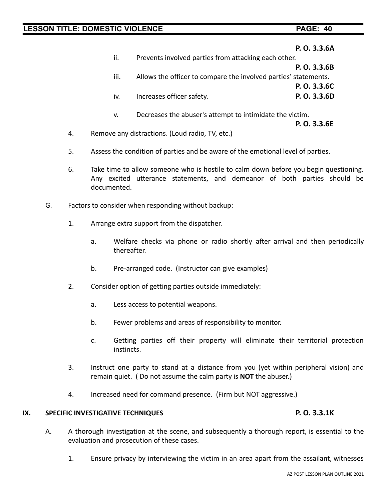|     |                                                                 | P. O. 3.3.6A |
|-----|-----------------------------------------------------------------|--------------|
| ii. | Prevents involved parties from attacking each other.            |              |
|     |                                                                 | P. O. 3.3.6B |
| Ш.  | Allows the officer to compare the involved parties' statements. |              |
|     |                                                                 | P. O. 3.3.6C |
| iv. | Increases officer safety.                                       | P. O. 3.3.6D |
|     |                                                                 |              |
| v.  | Decreases the abuser's attempt to intimidate the victim.        |              |
|     |                                                                 | P. O. 3.3.6E |

- 4. Remove any distractions. (Loud radio, TV, etc.)
- 5. Assess the condition of parties and be aware of the emotional level of parties.
- 6. Take time to allow someone who is hostile to calm down before you begin questioning. Any excited utterance statements, and demeanor of both parties should be documented.
- G. Factors to consider when responding without backup:
	- 1. Arrange extra support from the dispatcher.
		- a. Welfare checks via phone or radio shortly after arrival and then periodically thereafter.
		- b. Pre-arranged code. (Instructor can give examples)
	- 2. Consider option of getting parties outside immediately:
		- a. Less access to potential weapons.
		- b. Fewer problems and areas of responsibility to monitor.
		- c. Getting parties off their property will eliminate their territorial protection instincts.
	- 3. Instruct one party to stand at a distance from you (yet within peripheral vision) and remain quiet. ( Do not assume the calm party is **NOT** the abuser.)
	- 4. Increased need for command presence. (Firm but NOT aggressive.)

# **IX. SPECIFIC INVESTIGATIVE TECHNIQUES P. O. 3.3.1K**

- A. A thorough investigation at the scene, and subsequently a thorough report, is essential to the evaluation and prosecution of these cases.
	- 1. Ensure privacy by interviewing the victim in an area apart from the assailant, witnesses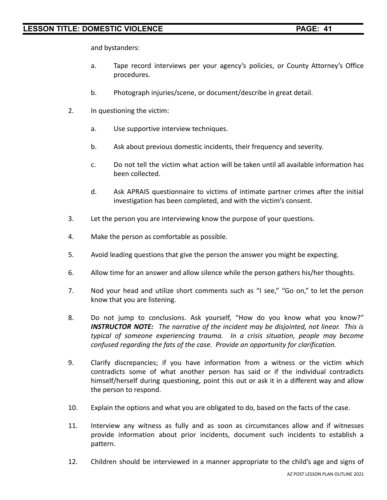and bystanders:

- a. Tape record interviews per your agency's policies, or County Attorney's Office procedures.
- b. Photograph injuries/scene, or document/describe in great detail.
- 2. In questioning the victim:
	- a. Use supportive interview techniques.
	- b. Ask about previous domestic incidents, their frequency and severity.
	- c. Do not tell the victim what action will be taken until all available information has been collected.
	- d. Ask APRAIS questionnaire to victims of intimate partner crimes after the initial investigation has been completed, and with the victim's consent.
- 3. Let the person you are interviewing know the purpose of your questions.
- 4. Make the person as comfortable as possible.
- 5. Avoid leading questions that give the person the answer you might be expecting.
- 6. Allow time for an answer and allow silence while the person gathers his/her thoughts.
- 7. Nod your head and utilize short comments such as "I see," "Go on," to let the person know that you are listening.
- 8. Do not jump to conclusions. Ask yourself, "How do you know what you know?" *INSTRUCTOR NOTE: The narrative of the incident may be disjointed, not linear. This is typical of someone experiencing trauma. In a crisis situation, people may become confused regarding the fats of the case. Provide an opportunity for clarification.*
- 9. Clarify discrepancies; if you have information from a witness or the victim which contradicts some of what another person has said or if the individual contradicts himself/herself during questioning, point this out or ask it in a different way and allow the person to respond.
- 10. Explain the options and what you are obligated to do, based on the facts of the case.
- 11. Interview any witness as fully and as soon as circumstances allow and if witnesses provide information about prior incidents, document such incidents to establish a pattern.
- 12. Children should be interviewed in a manner appropriate to the child's age and signs of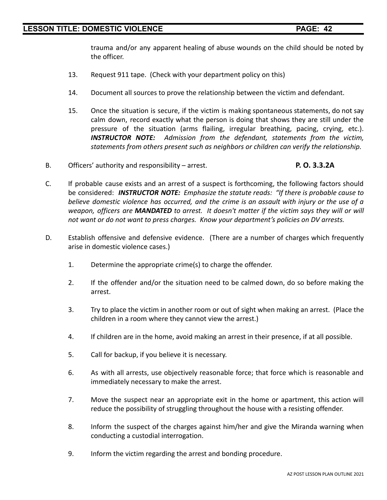trauma and/or any apparent healing of abuse wounds on the child should be noted by the officer.

- 13. Request 911 tape. (Check with your department policy on this)
- 14. Document all sources to prove the relationship between the victim and defendant.
- 15. Once the situation is secure, if the victim is making spontaneous statements, do not say calm down, record exactly what the person is doing that shows they are still under the pressure of the situation (arms flailing, irregular breathing, pacing, crying, etc.). *INSTRUCTOR NOTE: Admission from the defendant, statements from the victim, statements from others present such as neighbors or children can verify the relationship.*
- B. Officers' authority and responsibility arrest. **P. O. 3.3.2A**
- C. If probable cause exists and an arrest of a suspect is forthcoming, the following factors should be considered: *INSTRUCTOR NOTE: Emphasize the statute reads: "If there is probable cause to believe domestic violence has occurred, and the crime is an assault with injury or the use of a weapon, officers are MANDATED to arrest. It doesn't matter if the victim says they will or will not want or do not want to press charges. Know your department's policies on DV arrests.*
- D. Establish offensive and defensive evidence. (There are a number of charges which frequently arise in domestic violence cases.)
	- 1. Determine the appropriate crime(s) to charge the offender.
	- 2. If the offender and/or the situation need to be calmed down, do so before making the arrest.
	- 3. Try to place the victim in another room or out of sight when making an arrest. (Place the children in a room where they cannot view the arrest.)
	- 4. If children are in the home, avoid making an arrest in their presence, if at all possible.
	- 5. Call for backup, if you believe it is necessary.
	- 6. As with all arrests, use objectively reasonable force; that force which is reasonable and immediately necessary to make the arrest.
	- 7. Move the suspect near an appropriate exit in the home or apartment, this action will reduce the possibility of struggling throughout the house with a resisting offender.
	- 8. Inform the suspect of the charges against him/her and give the Miranda warning when conducting a custodial interrogation.
	- 9. Inform the victim regarding the arrest and bonding procedure.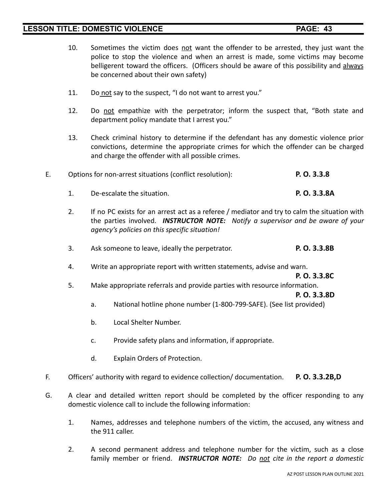- 10. Sometimes the victim does not want the offender to be arrested, they just want the police to stop the violence and when an arrest is made, some victims may become belligerent toward the officers. (Officers should be aware of this possibility and always be concerned about their own safety)
- 11. Do not say to the suspect, "I do not want to arrest you."
- 12. Do not empathize with the perpetrator; inform the suspect that, "Both state and department policy mandate that I arrest you."
- 13. Check criminal history to determine if the defendant has any domestic violence prior convictions, determine the appropriate crimes for which the offender can be charged and charge the offender with all possible crimes.
- E. Options for non-arrest situations (conflict resolution): **P. O. 3.3.8**
	- 1. De-escalate the situation. **P. O. 3.3.8A**
	- 2. If no PC exists for an arrest act as a referee / mediator and try to calm the situation with the parties involved. *INSTRUCTOR NOTE: Notify a supervisor and be aware of your agency's policies on this specific situation!*
	- 3. Ask someone to leave, ideally the perpetrator. **P. O. 3.3.8B**
	- 4. Write an appropriate report with written statements, advise and warn.

**P. O. 3.3.8C**

5. Make appropriate referrals and provide parties with resource information.

**P. O. 3.3.8D**

- a. National hotline phone number (1-800-799-SAFE). (See list provided)
- b. Local Shelter Number.
- c. Provide safety plans and information, if appropriate.
- d. Explain Orders of Protection.
- F. Officers' authority with regard to evidence collection/ documentation. **P. O. 3.3.2B,D**
- G. A clear and detailed written report should be completed by the officer responding to any domestic violence call to include the following information:
	- 1. Names, addresses and telephone numbers of the victim, the accused, any witness and the 911 caller.
	- 2. A second permanent address and telephone number for the victim, such as a close family member or friend. *INSTRUCTOR NOTE: Do not cite in the report a domestic*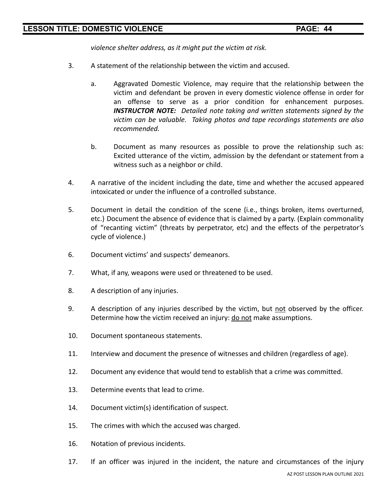*violence shelter address, as it might put the victim at risk.*

- 3. A statement of the relationship between the victim and accused.
	- a. Aggravated Domestic Violence, may require that the relationship between the victim and defendant be proven in every domestic violence offense in order for an offense to serve as a prior condition for enhancement purposes. *INSTRUCTOR NOTE: Detailed note taking and written statements signed by the victim can be valuable. Taking photos and tape recordings statements are also recommended.*
	- b. Document as many resources as possible to prove the relationship such as: Excited utterance of the victim, admission by the defendant or statement from a witness such as a neighbor or child.
- 4. A narrative of the incident including the date, time and whether the accused appeared intoxicated or under the influence of a controlled substance.
- 5. Document in detail the condition of the scene (i.e., things broken, items overturned, etc.) Document the absence of evidence that is claimed by a party. (Explain commonality of "recanting victim" (threats by perpetrator, etc) and the effects of the perpetrator's cycle of violence.)
- 6. Document victims' and suspects' demeanors.
- 7. What, if any, weapons were used or threatened to be used.
- 8. A description of any injuries.
- 9. A description of any injuries described by the victim, but not observed by the officer. Determine how the victim received an injury: do not make assumptions.
- 10. Document spontaneous statements.
- 11. Interview and document the presence of witnesses and children (regardless of age).
- 12. Document any evidence that would tend to establish that a crime was committed.
- 13. Determine events that lead to crime.
- 14. Document victim(s) identification of suspect.
- 15. The crimes with which the accused was charged.
- 16. Notation of previous incidents.
- 17. If an officer was injured in the incident, the nature and circumstances of the injury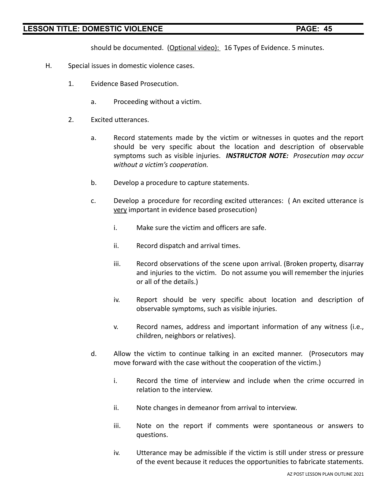should be documented. (Optional video): 16 Types of Evidence. 5 minutes.

- H. Special issues in domestic violence cases.
	- 1. Evidence Based Prosecution.
		- a. Proceeding without a victim.
	- 2. Excited utterances.
		- a. Record statements made by the victim or witnesses in quotes and the report should be very specific about the location and description of observable symptoms such as visible injuries. *INSTRUCTOR NOTE: Prosecution may occur without a victim's cooperation.*
		- b. Develop a procedure to capture statements.
		- c. Develop a procedure for recording excited utterances: ( An excited utterance is very important in evidence based prosecution)
			- i. Make sure the victim and officers are safe.
			- ii. Record dispatch and arrival times.
			- iii. Record observations of the scene upon arrival. (Broken property, disarray and injuries to the victim. Do not assume you will remember the injuries or all of the details.)
			- iv. Report should be very specific about location and description of observable symptoms, such as visible injuries.
			- v. Record names, address and important information of any witness (i.e., children, neighbors or relatives).
		- d. Allow the victim to continue talking in an excited manner. (Prosecutors may move forward with the case without the cooperation of the victim.)
			- i. Record the time of interview and include when the crime occurred in relation to the interview.
			- ii. Note changes in demeanor from arrival to interview.
			- iii. Note on the report if comments were spontaneous or answers to questions.
			- iv. Utterance may be admissible if the victim is still under stress or pressure of the event because it reduces the opportunities to fabricate statements.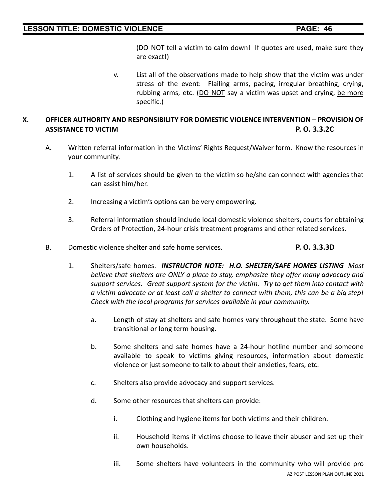(DO NOT tell a victim to calm down! If quotes are used, make sure they are exact!)

v. List all of the observations made to help show that the victim was under stress of the event: Flailing arms, pacing, irregular breathing, crying, rubbing arms, etc. (DO NOT say a victim was upset and crying, be more specific.)

# **X. OFFICER AUTHORITY AND RESPONSIBILITY FOR DOMESTIC VIOLENCE INTERVENTION – PROVISION OF ASSISTANCE TO VICTIM P. O. 3.3.2C**

- A. Written referral information in the Victims' Rights Request/Waiver form. Know the resources in your community.
	- 1. A list of services should be given to the victim so he/she can connect with agencies that can assist him/her.
	- 2. Increasing a victim's options can be very empowering.
	- 3. Referral information should include local domestic violence shelters, courts for obtaining Orders of Protection, 24-hour crisis treatment programs and other related services.
- B. Domestic violence shelter and safe home services. **P. O. 3.3.3D**
	- 1. Shelters/safe homes. *INSTRUCTOR NOTE: H.O. SHELTER/SAFE HOMES LISTING Most believe that shelters are ONLY a place to stay, emphasize they offer many advocacy and support services. Great support system for the victim. Try to get them into contact with a victim advocate or at least call a shelter to connect with them, this can be a big step! Check with the local programs for services available in your community.*
		- a. Length of stay at shelters and safe homes vary throughout the state. Some have transitional or long term housing.
		- b. Some shelters and safe homes have a 24-hour hotline number and someone available to speak to victims giving resources, information about domestic violence or just someone to talk to about their anxieties, fears, etc.
		- c. Shelters also provide advocacy and support services.
		- d. Some other resources that shelters can provide:
			- i. Clothing and hygiene items for both victims and their children.
			- ii. Household items if victims choose to leave their abuser and set up their own households.
			- iii. Some shelters have volunteers in the community who will provide pro AZ POST LESSON PLAN OUTLINE 2021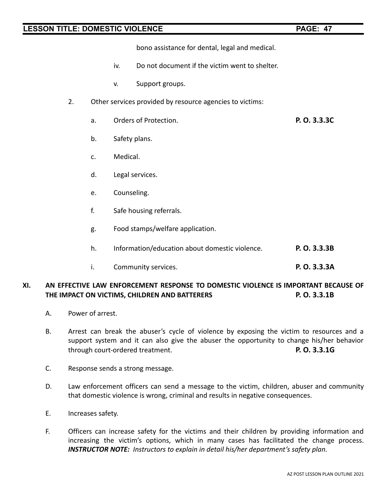bono assistance for dental, legal and medical.

- iv. Do not document if the victim went to shelter.
- v. Support groups.
- 2. Other services provided by resource agencies to victims:
	- a. Orders of Protection. **P. O. 3.3.3C**
	- b. Safety plans.
	- c. Medical.
	- d. Legal services.
	- e. Counseling.
	- f. Safe housing referrals.
	- g. Food stamps/welfare application.
	- h. Information/education about domestic violence. **P. O. 3.3.3B**
	- i. Community services. **P. O. 3.3.3A**

## **XI. AN EFFECTIVE LAW ENFORCEMENT RESPONSE TO DOMESTIC VIOLENCE IS IMPORTANT BECAUSE OF THE IMPACT ON VICTIMS, CHILDREN AND BATTERERS P. O. 3.3.1B**

- A. Power of arrest.
- B. Arrest can break the abuser's cycle of violence by exposing the victim to resources and a support system and it can also give the abuser the opportunity to change his/her behavior through court-ordered treatment. **P. O. 3.3.1G**
- C. Response sends a strong message.
- D. Law enforcement officers can send a message to the victim, children, abuser and community that domestic violence is wrong, criminal and results in negative consequences.
- E. Increases safety.
- F. Officers can increase safety for the victims and their children by providing information and increasing the victim's options, which in many cases has facilitated the change process. *INSTRUCTOR NOTE: Instructors to explain in detail his/her department's safety plan.*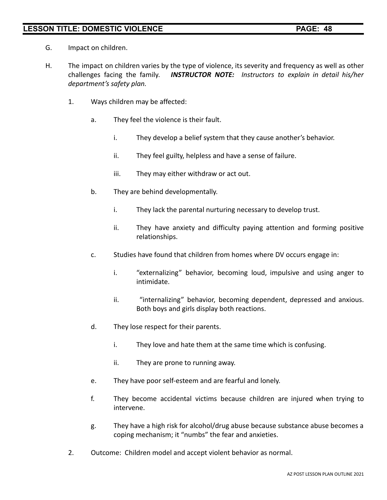- G. Impact on children.
- H. The impact on children varies by the type of violence, its severity and frequency as well as other challenges facing the family. *INSTRUCTOR NOTE: Instructors to explain in detail his/her department's safety plan.*
	- 1. Ways children may be affected:
		- a. They feel the violence is their fault.
			- i. They develop a belief system that they cause another's behavior.
			- ii. They feel guilty, helpless and have a sense of failure.
			- iii. They may either withdraw or act out.
		- b. They are behind developmentally.
			- i. They lack the parental nurturing necessary to develop trust.
			- ii. They have anxiety and difficulty paying attention and forming positive relationships.
		- c. Studies have found that children from homes where DV occurs engage in:
			- i. "externalizing" behavior, becoming loud, impulsive and using anger to intimidate.
			- ii. "internalizing" behavior, becoming dependent, depressed and anxious. Both boys and girls display both reactions.
		- d. They lose respect for their parents.
			- i. They love and hate them at the same time which is confusing.
			- ii. They are prone to running away.
		- e. They have poor self-esteem and are fearful and lonely.
		- f. They become accidental victims because children are injured when trying to intervene.
		- g. They have a high risk for alcohol/drug abuse because substance abuse becomes a coping mechanism; it "numbs" the fear and anxieties.
	- 2. Outcome: Children model and accept violent behavior as normal.